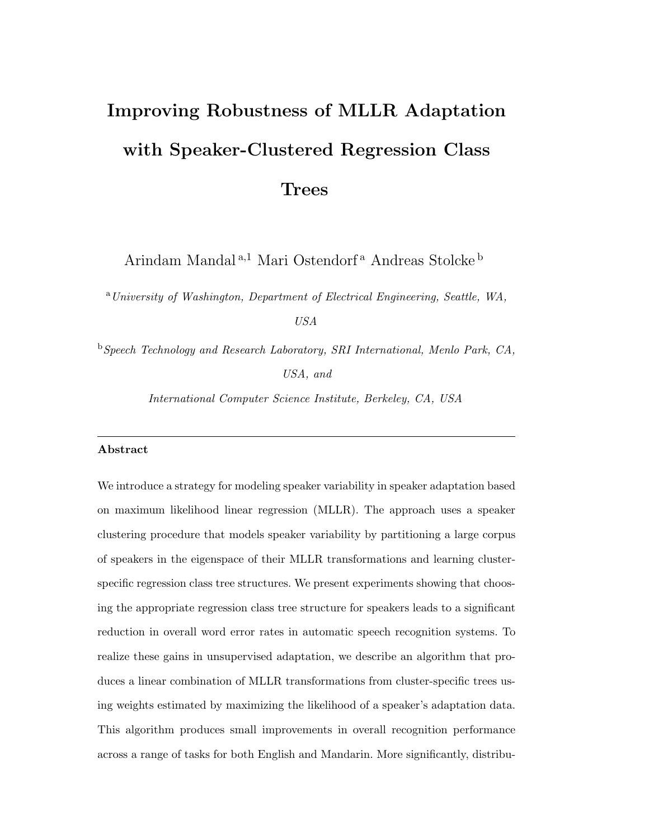# **Improving Robustness of MLLR Adaptation with Speaker-Clustered Regression Class**

**Trees**

Arindam Mandal $^{\mathrm{a},1}$  Mari Ostendorf $^{\mathrm{a}}$  Andreas Stolcke $^{\mathrm{b}}$ 

<sup>a</sup>*University of Washington, Department of Electrical Engineering, Seattle, WA, USA*

<sup>b</sup>*Speech Technology and Research Laboratory, SRI International, Menlo Park, CA, USA, and*

*International Computer Science Institute, Berkeley, CA, USA*

# **Abstract**

We introduce a strategy for modeling speaker variability in speaker adaptation based on maximum likelihood linear regression (MLLR). The approach uses a speaker clustering procedure that models speaker variability by partitioning a large corpus of speakers in the eigenspace of their MLLR transformations and learning clusterspecific regression class tree structures. We present experiments showing that choosing the appropriate regression class tree structure for speakers leads to a significant reduction in overall word error rates in automatic speech recognition systems. To realize these gains in unsupervised adaptation, we describe an algorithm that produces a linear combination of MLLR transformations from cluster-specific trees using weights estimated by maximizing the likelihood of a speaker's adaptation data. This algorithm produces small improvements in overall recognition performance across a range of tasks for both English and Mandarin. More significantly, distribu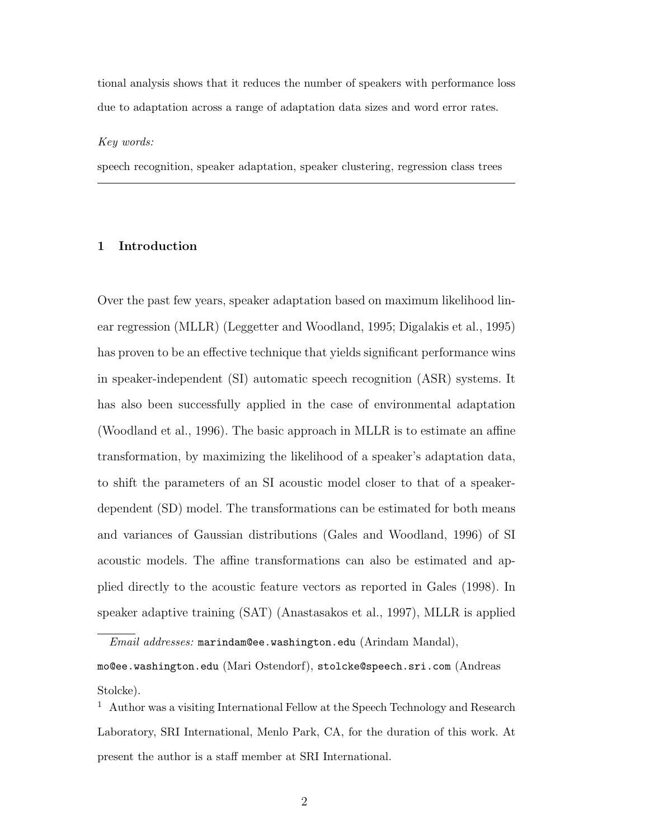tional analysis shows that it reduces the number of speakers with performance loss due to adaptation across a range of adaptation data sizes and word error rates.

#### *Key words:*

speech recognition, speaker adaptation, speaker clustering, regression class trees

# **1 Introduction**

Over the past few years, speaker adaptation based on maximum likelihood linear regression (MLLR) (Leggetter and Woodland, 1995; Digalakis et al., 1995) has proven to be an effective technique that yields significant performance wins in speaker-independent (SI) automatic speech recognition (ASR) systems. It has also been successfully applied in the case of environmental adaptation (Woodland et al., 1996). The basic approach in MLLR is to estimate an affine transformation, by maximizing the likelihood of a speaker's adaptation data, to shift the parameters of an SI acoustic model closer to that of a speakerdependent (SD) model. The transformations can be estimated for both means and variances of Gaussian distributions (Gales and Woodland, 1996) of SI acoustic models. The affine transformations can also be estimated and applied directly to the acoustic feature vectors as reported in Gales (1998). In speaker adaptive training (SAT) (Anastasakos et al., 1997), MLLR is applied

*Email addresses:* marindam@ee.washington.edu (Arindam Mandal),

mo@ee.washington.edu (Mari Ostendorf), stolcke@speech.sri.com (Andreas Stolcke).

<sup>&</sup>lt;sup>1</sup> Author was a visiting International Fellow at the Speech Technology and Research Laboratory, SRI International, Menlo Park, CA, for the duration of this work. At present the author is a staff member at SRI International.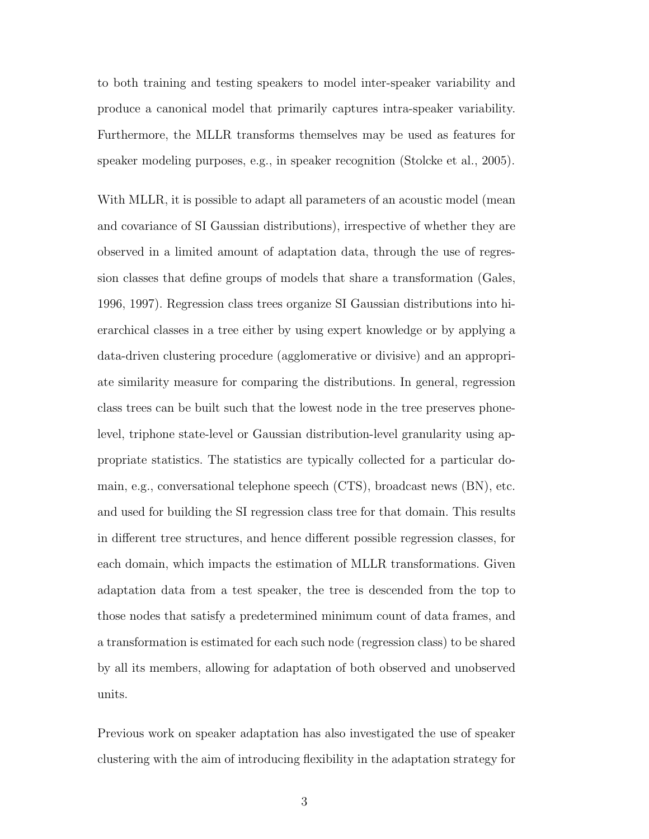to both training and testing speakers to model inter-speaker variability and produce a canonical model that primarily captures intra-speaker variability. Furthermore, the MLLR transforms themselves may be used as features for speaker modeling purposes, e.g., in speaker recognition (Stolcke et al., 2005).

With MLLR, it is possible to adapt all parameters of an acoustic model (mean and covariance of SI Gaussian distributions), irrespective of whether they are observed in a limited amount of adaptation data, through the use of regression classes that define groups of models that share a transformation (Gales, 1996, 1997). Regression class trees organize SI Gaussian distributions into hierarchical classes in a tree either by using expert knowledge or by applying a data-driven clustering procedure (agglomerative or divisive) and an appropriate similarity measure for comparing the distributions. In general, regression class trees can be built such that the lowest node in the tree preserves phonelevel, triphone state-level or Gaussian distribution-level granularity using appropriate statistics. The statistics are typically collected for a particular domain, e.g., conversational telephone speech (CTS), broadcast news (BN), etc. and used for building the SI regression class tree for that domain. This results in different tree structures, and hence different possible regression classes, for each domain, which impacts the estimation of MLLR transformations. Given adaptation data from a test speaker, the tree is descended from the top to those nodes that satisfy a predetermined minimum count of data frames, and a transformation is estimated for each such node (regression class) to be shared by all its members, allowing for adaptation of both observed and unobserved units.

Previous work on speaker adaptation has also investigated the use of speaker clustering with the aim of introducing flexibility in the adaptation strategy for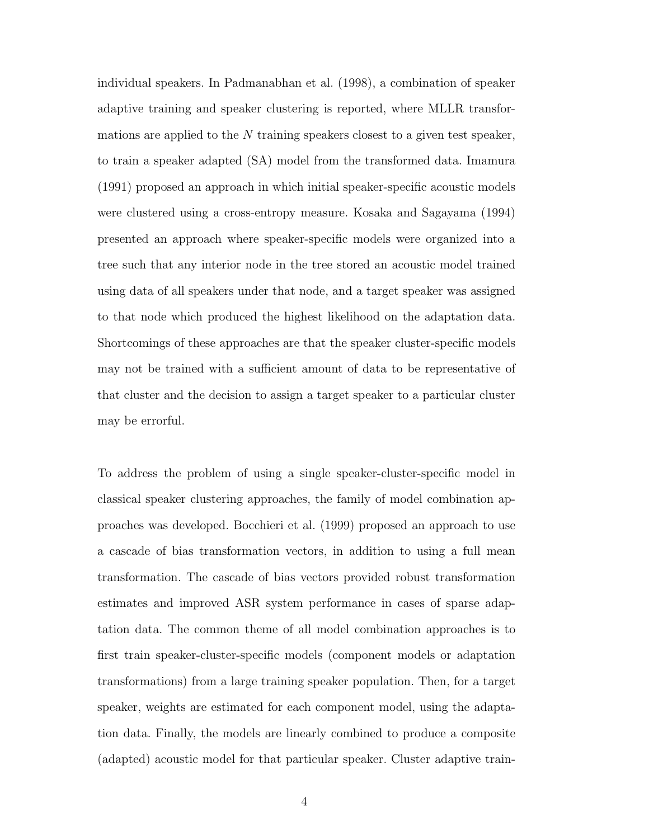individual speakers. In Padmanabhan et al. (1998), a combination of speaker adaptive training and speaker clustering is reported, where MLLR transformations are applied to the  $N$  training speakers closest to a given test speaker, to train a speaker adapted (SA) model from the transformed data. Imamura (1991) proposed an approach in which initial speaker-specific acoustic models were clustered using a cross-entropy measure. Kosaka and Sagayama (1994) presented an approach where speaker-specific models were organized into a tree such that any interior node in the tree stored an acoustic model trained using data of all speakers under that node, and a target speaker was assigned to that node which produced the highest likelihood on the adaptation data. Shortcomings of these approaches are that the speaker cluster-specific models may not be trained with a sufficient amount of data to be representative of that cluster and the decision to assign a target speaker to a particular cluster may be errorful.

To address the problem of using a single speaker-cluster-specific model in classical speaker clustering approaches, the family of model combination approaches was developed. Bocchieri et al. (1999) proposed an approach to use a cascade of bias transformation vectors, in addition to using a full mean transformation. The cascade of bias vectors provided robust transformation estimates and improved ASR system performance in cases of sparse adaptation data. The common theme of all model combination approaches is to first train speaker-cluster-specific models (component models or adaptation transformations) from a large training speaker population. Then, for a target speaker, weights are estimated for each component model, using the adaptation data. Finally, the models are linearly combined to produce a composite (adapted) acoustic model for that particular speaker. Cluster adaptive train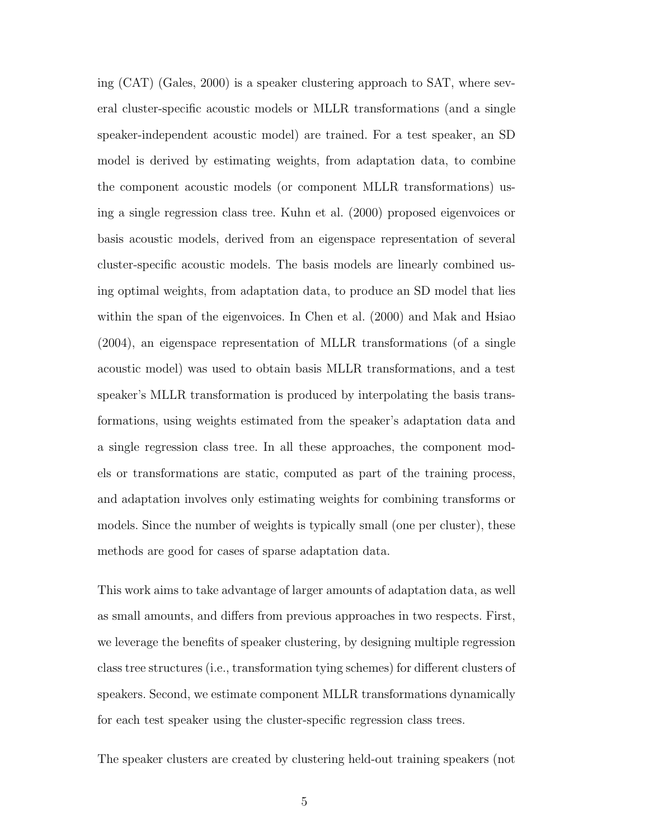ing (CAT) (Gales, 2000) is a speaker clustering approach to SAT, where several cluster-specific acoustic models or MLLR transformations (and a single speaker-independent acoustic model) are trained. For a test speaker, an SD model is derived by estimating weights, from adaptation data, to combine the component acoustic models (or component MLLR transformations) using a single regression class tree. Kuhn et al. (2000) proposed eigenvoices or basis acoustic models, derived from an eigenspace representation of several cluster-specific acoustic models. The basis models are linearly combined using optimal weights, from adaptation data, to produce an SD model that lies within the span of the eigenvoices. In Chen et al. (2000) and Mak and Hsiao (2004), an eigenspace representation of MLLR transformations (of a single acoustic model) was used to obtain basis MLLR transformations, and a test speaker's MLLR transformation is produced by interpolating the basis transformations, using weights estimated from the speaker's adaptation data and a single regression class tree. In all these approaches, the component models or transformations are static, computed as part of the training process, and adaptation involves only estimating weights for combining transforms or models. Since the number of weights is typically small (one per cluster), these methods are good for cases of sparse adaptation data.

This work aims to take advantage of larger amounts of adaptation data, as well as small amounts, and differs from previous approaches in two respects. First, we leverage the benefits of speaker clustering, by designing multiple regression class tree structures (i.e., transformation tying schemes) for different clusters of speakers. Second, we estimate component MLLR transformations dynamically for each test speaker using the cluster-specific regression class trees.

The speaker clusters are created by clustering held-out training speakers (not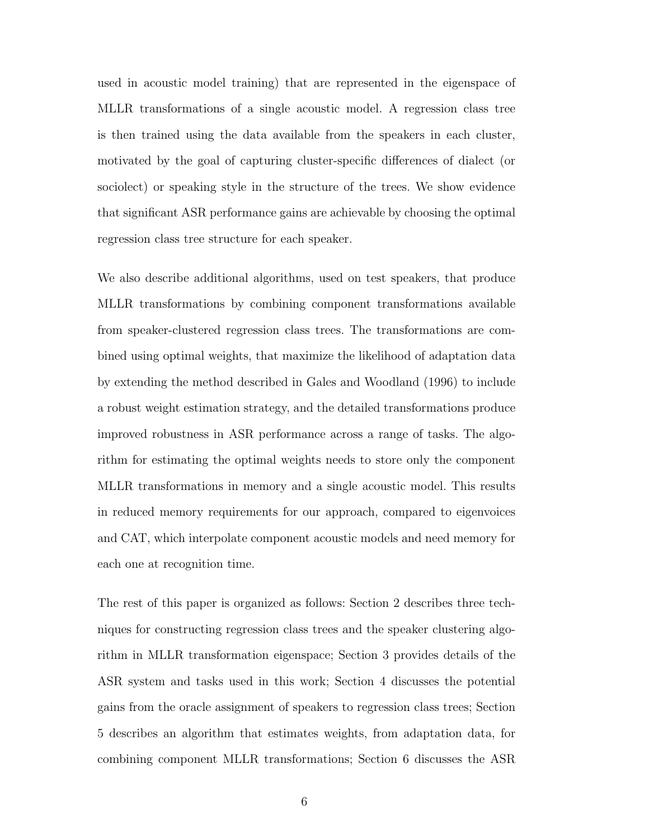used in acoustic model training) that are represented in the eigenspace of MLLR transformations of a single acoustic model. A regression class tree is then trained using the data available from the speakers in each cluster, motivated by the goal of capturing cluster-specific differences of dialect (or sociolect) or speaking style in the structure of the trees. We show evidence that significant ASR performance gains are achievable by choosing the optimal regression class tree structure for each speaker.

We also describe additional algorithms, used on test speakers, that produce MLLR transformations by combining component transformations available from speaker-clustered regression class trees. The transformations are combined using optimal weights, that maximize the likelihood of adaptation data by extending the method described in Gales and Woodland (1996) to include a robust weight estimation strategy, and the detailed transformations produce improved robustness in ASR performance across a range of tasks. The algorithm for estimating the optimal weights needs to store only the component MLLR transformations in memory and a single acoustic model. This results in reduced memory requirements for our approach, compared to eigenvoices and CAT, which interpolate component acoustic models and need memory for each one at recognition time.

The rest of this paper is organized as follows: Section 2 describes three techniques for constructing regression class trees and the speaker clustering algorithm in MLLR transformation eigenspace; Section 3 provides details of the ASR system and tasks used in this work; Section 4 discusses the potential gains from the oracle assignment of speakers to regression class trees; Section 5 describes an algorithm that estimates weights, from adaptation data, for combining component MLLR transformations; Section 6 discusses the ASR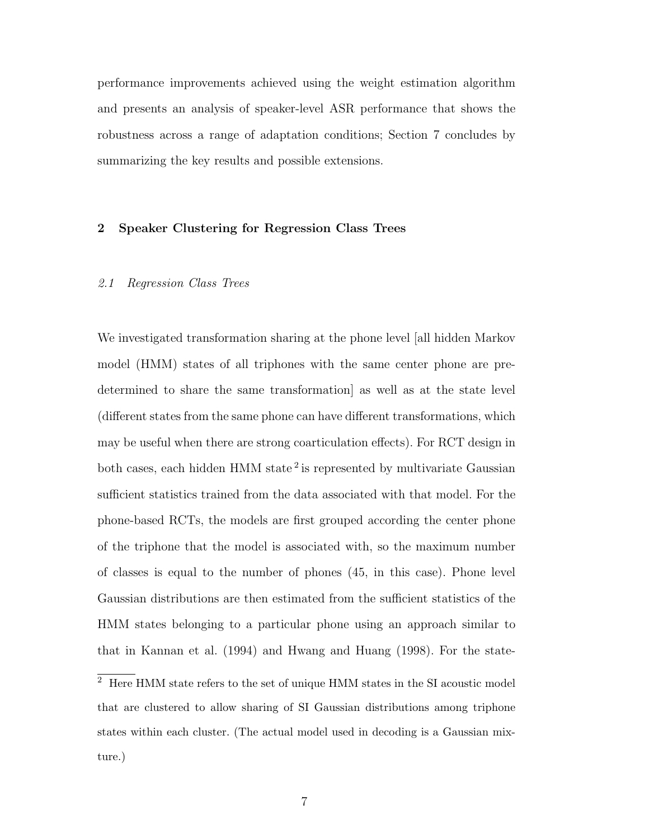performance improvements achieved using the weight estimation algorithm and presents an analysis of speaker-level ASR performance that shows the robustness across a range of adaptation conditions; Section 7 concludes by summarizing the key results and possible extensions.

# **2 Speaker Clustering for Regression Class Trees**

#### 2.1 Regression Class Trees

We investigated transformation sharing at the phone level [all hidden Markov model (HMM) states of all triphones with the same center phone are predetermined to share the same transformation] as well as at the state level (different states from the same phone can have different transformations, which may be useful when there are strong coarticulation effects). For RCT design in both cases, each hidden HMM state<sup>2</sup> is represented by multivariate Gaussian sufficient statistics trained from the data associated with that model. For the phone-based RCTs, the models are first grouped according the center phone of the triphone that the model is associated with, so the maximum number of classes is equal to the number of phones (45, in this case). Phone level Gaussian distributions are then estimated from the sufficient statistics of the HMM states belonging to a particular phone using an approach similar to that in Kannan et al. (1994) and Hwang and Huang (1998). For the state-

 $\overline{2}$  Here HMM state refers to the set of unique HMM states in the SI acoustic model that are clustered to allow sharing of SI Gaussian distributions among triphone states within each cluster. (The actual model used in decoding is a Gaussian mixture.)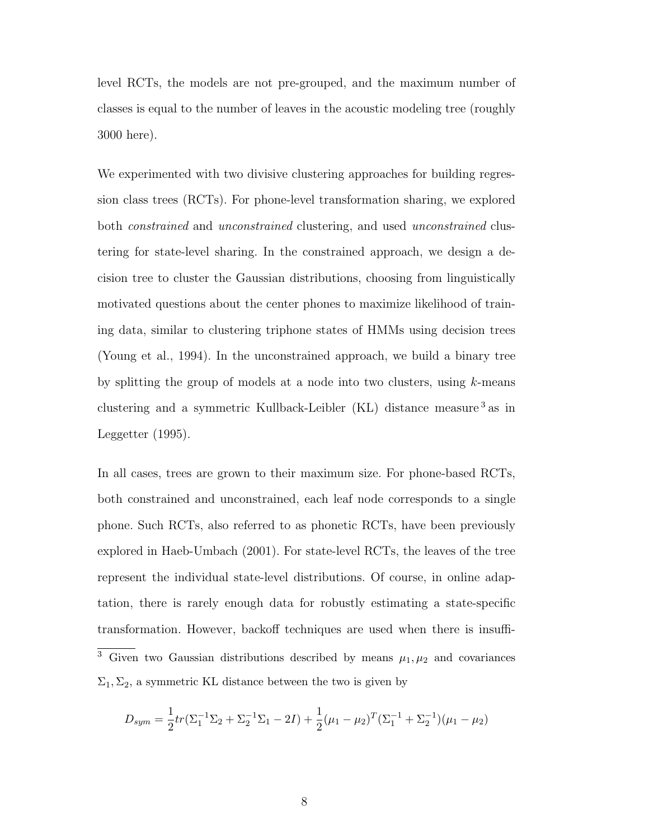level RCTs, the models are not pre-grouped, and the maximum number of classes is equal to the number of leaves in the acoustic modeling tree (roughly 3000 here).

We experimented with two divisive clustering approaches for building regression class trees (RCTs). For phone-level transformation sharing, we explored both constrained and unconstrained clustering, and used unconstrained clustering for state-level sharing. In the constrained approach, we design a decision tree to cluster the Gaussian distributions, choosing from linguistically motivated questions about the center phones to maximize likelihood of training data, similar to clustering triphone states of HMMs using decision trees (Young et al., 1994). In the unconstrained approach, we build a binary tree by splitting the group of models at a node into two clusters, using k-means clustering and a symmetric Kullback-Leibler (KL) distance measure  $^3\,\mathrm{as}\,$  in Leggetter (1995).

In all cases, trees are grown to their maximum size. For phone-based RCTs, both constrained and unconstrained, each leaf node corresponds to a single phone. Such RCTs, also referred to as phonetic RCTs, have been previously explored in Haeb-Umbach (2001). For state-level RCTs, the leaves of the tree represent the individual state-level distributions. Of course, in online adaptation, there is rarely enough data for robustly estimating a state-specific transformation. However, backoff techniques are used when there is insuffi- $\overline{3}$  Given two Gaussian distributions described by means  $\mu_1, \mu_2$  and covariances  $\Sigma_1, \Sigma_2$ , a symmetric KL distance between the two is given by

$$
D_{sym} = \frac{1}{2}tr(\Sigma_1^{-1}\Sigma_2 + \Sigma_2^{-1}\Sigma_1 - 2I) + \frac{1}{2}(\mu_1 - \mu_2)^T(\Sigma_1^{-1} + \Sigma_2^{-1})(\mu_1 - \mu_2)
$$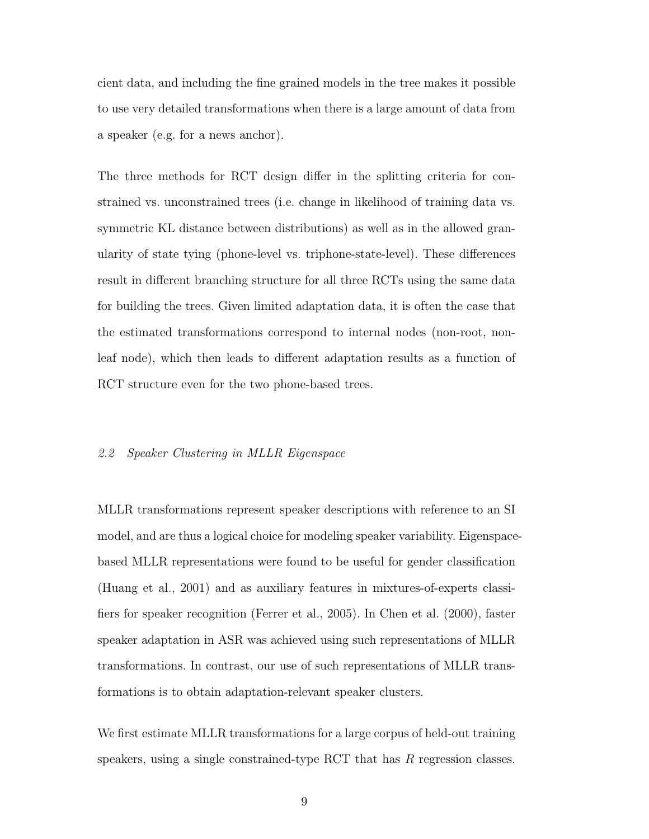cient data, and including the fine grained models in the tree makes it possible to use very detailed transformations when there is a large amount of data from a speaker (e.g. for a news anchor).

The three methods for RCT design differ in the splitting criteria for constrained vs. unconstrained trees (i.e. change in likelihood of training data vs. symmetric KL distance between distributions) as well as in the allowed granularity of state tying (phone-level vs. triphone-state-level). These differences result in different branching structure for all three RCTs using the same data for building the trees. Given limited adaptation data, it is often the case that the estimated transformations correspond to internal nodes (non-root, nonleaf node), which then leads to different adaptation results as a function of RCT structure even for the two phone-based trees.

#### 2.2 Speaker Clustering in MLLR Eigenspace

MLLR transformations represent speaker descriptions with reference to an SI model, and are thus a logical choice for modeling speaker variability. Eigenspacebased MLLR representations were found to be useful for gender classification (Huang et al., 2001) and as auxiliary features in mixtures-of-experts classifiers for speaker recognition (Ferrer et al., 2005). In Chen et al. (2000), faster speaker adaptation in ASR was achieved using such representations of MLLR transformations. In contrast, our use of such representations of MLLR transformations is to obtain adaptation-relevant speaker clusters.

We first estimate MLLR transformations for a large corpus of held-out training speakers, using a single constrained-type RCT that has  $R$  regression classes.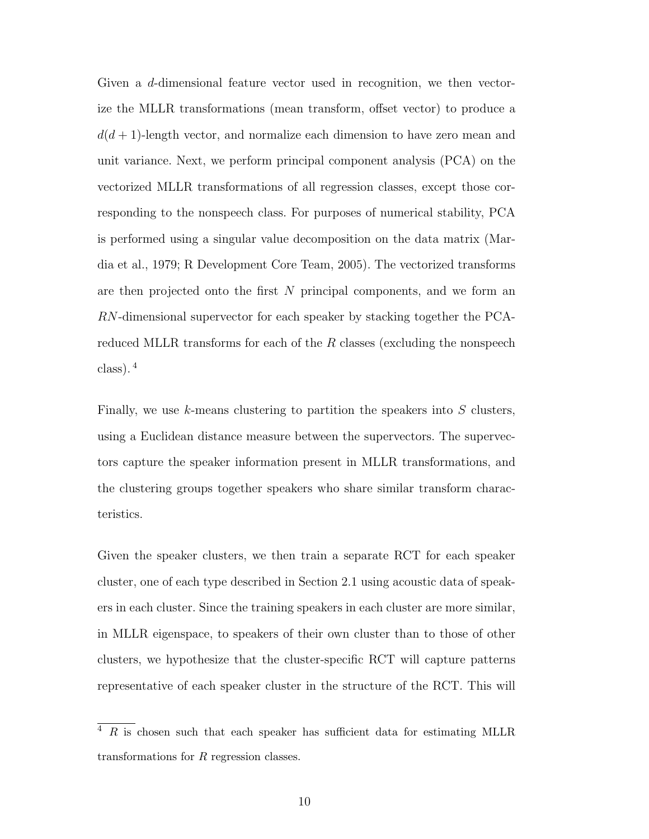Given a d-dimensional feature vector used in recognition, we then vectorize the MLLR transformations (mean transform, offset vector) to produce a  $d(d+1)$ -length vector, and normalize each dimension to have zero mean and unit variance. Next, we perform principal component analysis (PCA) on the vectorized MLLR transformations of all regression classes, except those corresponding to the nonspeech class. For purposes of numerical stability, PCA is performed using a singular value decomposition on the data matrix (Mardia et al., 1979; R Development Core Team, 2005). The vectorized transforms are then projected onto the first N principal components, and we form an RN-dimensional supervector for each speaker by stacking together the PCAreduced MLLR transforms for each of the  $R$  classes (excluding the nonspeech class). <sup>4</sup>

Finally, we use  $k$ -means clustering to partition the speakers into  $S$  clusters, using a Euclidean distance measure between the supervectors. The supervectors capture the speaker information present in MLLR transformations, and the clustering groups together speakers who share similar transform characteristics.

Given the speaker clusters, we then train a separate RCT for each speaker cluster, one of each type described in Section 2.1 using acoustic data of speakers in each cluster. Since the training speakers in each cluster are more similar, in MLLR eigenspace, to speakers of their own cluster than to those of other clusters, we hypothesize that the cluster-specific RCT will capture patterns representative of each speaker cluster in the structure of the RCT. This will

 $4 R$  is chosen such that each speaker has sufficient data for estimating MLLR transformations for R regression classes.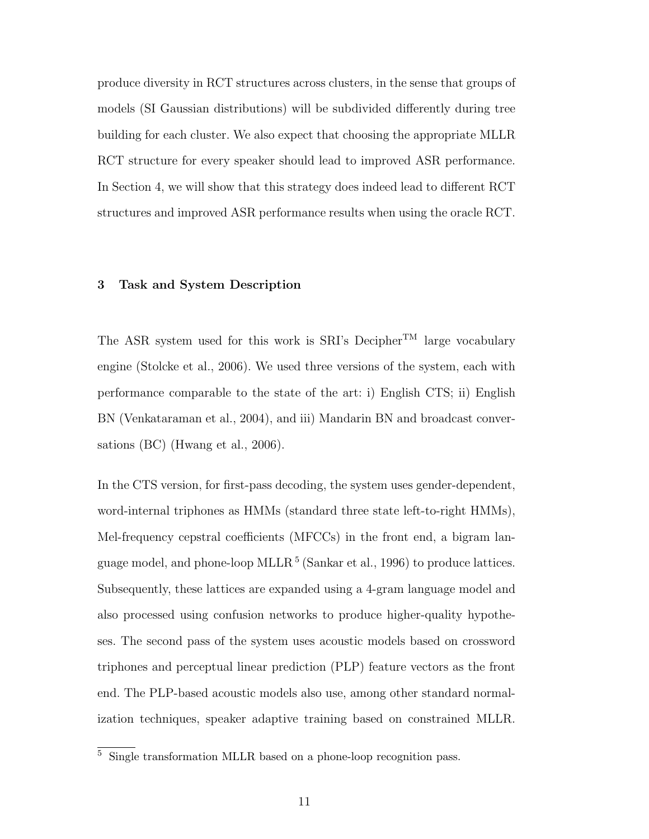produce diversity in RCT structures across clusters, in the sense that groups of models (SI Gaussian distributions) will be subdivided differently during tree building for each cluster. We also expect that choosing the appropriate MLLR RCT structure for every speaker should lead to improved ASR performance. In Section 4, we will show that this strategy does indeed lead to different RCT structures and improved ASR performance results when using the oracle RCT.

# **3 Task and System Description**

The ASR system used for this work is SRI's Decipher<sup>TM</sup> large vocabulary engine (Stolcke et al., 2006). We used three versions of the system, each with performance comparable to the state of the art: i) English CTS; ii) English BN (Venkataraman et al., 2004), and iii) Mandarin BN and broadcast conversations (BC) (Hwang et al., 2006).

In the CTS version, for first-pass decoding, the system uses gender-dependent, word-internal triphones as HMMs (standard three state left-to-right HMMs), Mel-frequency cepstral coefficients (MFCCs) in the front end, a bigram language model, and phone-loop MLLR<sup>5</sup> (Sankar et al., 1996) to produce lattices. Subsequently, these lattices are expanded using a 4-gram language model and also processed using confusion networks to produce higher-quality hypotheses. The second pass of the system uses acoustic models based on crossword triphones and perceptual linear prediction (PLP) feature vectors as the front end. The PLP-based acoustic models also use, among other standard normalization techniques, speaker adaptive training based on constrained MLLR.

<sup>5</sup> Single transformation MLLR based on a phone-loop recognition pass.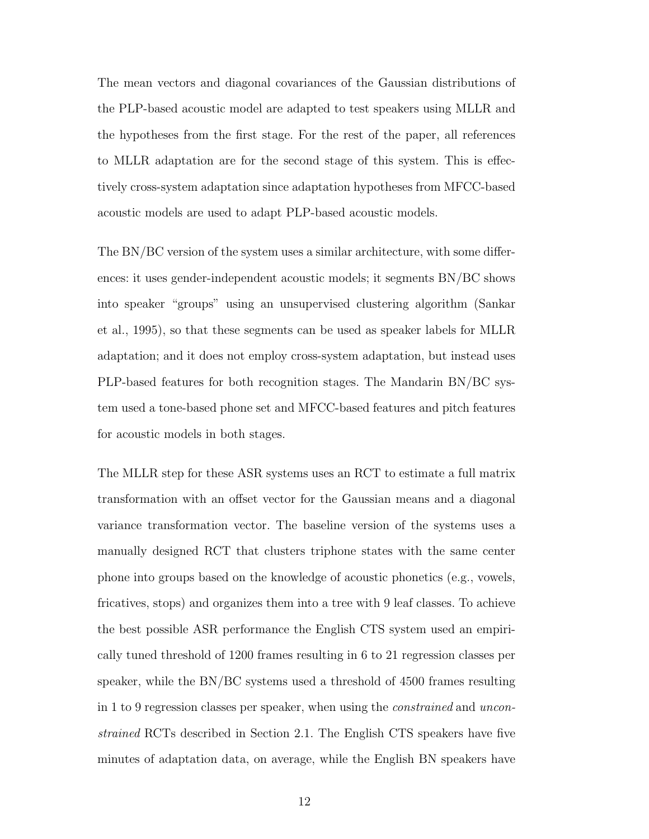The mean vectors and diagonal covariances of the Gaussian distributions of the PLP-based acoustic model are adapted to test speakers using MLLR and the hypotheses from the first stage. For the rest of the paper, all references to MLLR adaptation are for the second stage of this system. This is effectively cross-system adaptation since adaptation hypotheses from MFCC-based acoustic models are used to adapt PLP-based acoustic models.

The BN/BC version of the system uses a similar architecture, with some differences: it uses gender-independent acoustic models; it segments BN/BC shows into speaker "groups" using an unsupervised clustering algorithm (Sankar et al., 1995), so that these segments can be used as speaker labels for MLLR adaptation; and it does not employ cross-system adaptation, but instead uses PLP-based features for both recognition stages. The Mandarin BN/BC system used a tone-based phone set and MFCC-based features and pitch features for acoustic models in both stages.

The MLLR step for these ASR systems uses an RCT to estimate a full matrix transformation with an offset vector for the Gaussian means and a diagonal variance transformation vector. The baseline version of the systems uses a manually designed RCT that clusters triphone states with the same center phone into groups based on the knowledge of acoustic phonetics (e.g., vowels, fricatives, stops) and organizes them into a tree with 9 leaf classes. To achieve the best possible ASR performance the English CTS system used an empirically tuned threshold of 1200 frames resulting in 6 to 21 regression classes per speaker, while the BN/BC systems used a threshold of 4500 frames resulting in 1 to 9 regression classes per speaker, when using the constrained and unconstrained RCTs described in Section 2.1. The English CTS speakers have five minutes of adaptation data, on average, while the English BN speakers have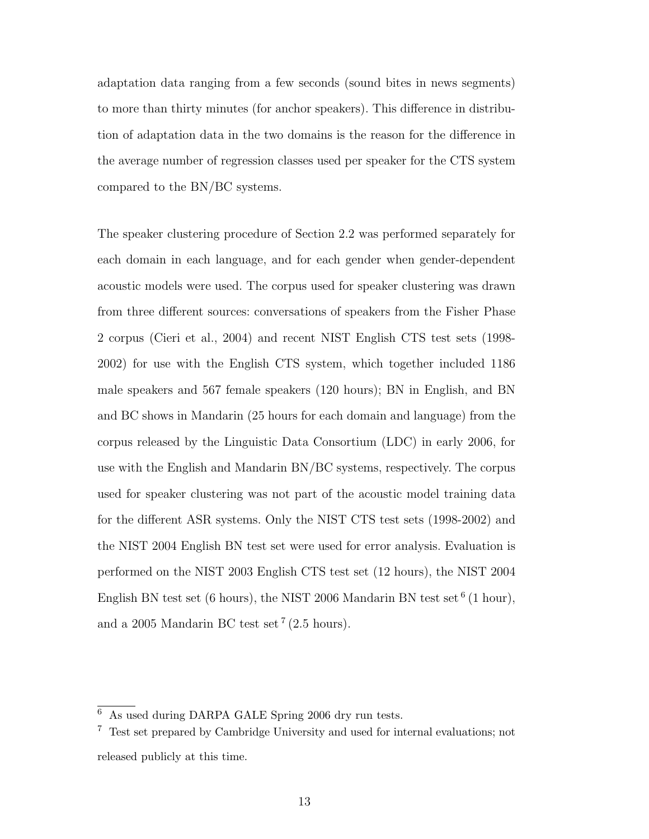adaptation data ranging from a few seconds (sound bites in news segments) to more than thirty minutes (for anchor speakers). This difference in distribution of adaptation data in the two domains is the reason for the difference in the average number of regression classes used per speaker for the CTS system compared to the BN/BC systems.

The speaker clustering procedure of Section 2.2 was performed separately for each domain in each language, and for each gender when gender-dependent acoustic models were used. The corpus used for speaker clustering was drawn from three different sources: conversations of speakers from the Fisher Phase 2 corpus (Cieri et al., 2004) and recent NIST English CTS test sets (1998- 2002) for use with the English CTS system, which together included 1186 male speakers and 567 female speakers (120 hours); BN in English, and BN and BC shows in Mandarin (25 hours for each domain and language) from the corpus released by the Linguistic Data Consortium (LDC) in early 2006, for use with the English and Mandarin BN/BC systems, respectively. The corpus used for speaker clustering was not part of the acoustic model training data for the different ASR systems. Only the NIST CTS test sets (1998-2002) and the NIST 2004 English BN test set were used for error analysis. Evaluation is performed on the NIST 2003 English CTS test set (12 hours), the NIST 2004 English BN test set (6 hours), the NIST 2006 Mandarin BN test set  $(6 \text{ hour})$ , and a 2005 Mandarin BC test set  $(2.5 \text{ hours})$ .

As used during DARPA GALE Spring 2006 dry run tests.

<sup>7</sup> Test set prepared by Cambridge University and used for internal evaluations; not released publicly at this time.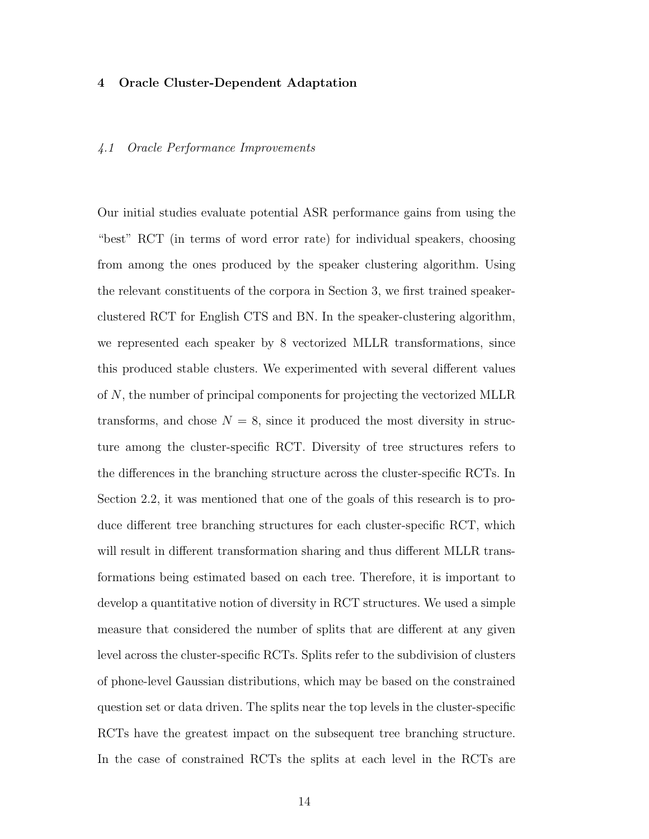#### **4 Oracle Cluster-Dependent Adaptation**

#### 4.1 Oracle Performance Improvements

Our initial studies evaluate potential ASR performance gains from using the "best" RCT (in terms of word error rate) for individual speakers, choosing from among the ones produced by the speaker clustering algorithm. Using the relevant constituents of the corpora in Section 3, we first trained speakerclustered RCT for English CTS and BN. In the speaker-clustering algorithm, we represented each speaker by 8 vectorized MLLR transformations, since this produced stable clusters. We experimented with several different values of N, the number of principal components for projecting the vectorized MLLR transforms, and chose  $N = 8$ , since it produced the most diversity in structure among the cluster-specific RCT. Diversity of tree structures refers to the differences in the branching structure across the cluster-specific RCTs. In Section 2.2, it was mentioned that one of the goals of this research is to produce different tree branching structures for each cluster-specific RCT, which will result in different transformation sharing and thus different MLLR transformations being estimated based on each tree. Therefore, it is important to develop a quantitative notion of diversity in RCT structures. We used a simple measure that considered the number of splits that are different at any given level across the cluster-specific RCTs. Splits refer to the subdivision of clusters of phone-level Gaussian distributions, which may be based on the constrained question set or data driven. The splits near the top levels in the cluster-specific RCTs have the greatest impact on the subsequent tree branching structure. In the case of constrained RCTs the splits at each level in the RCTs are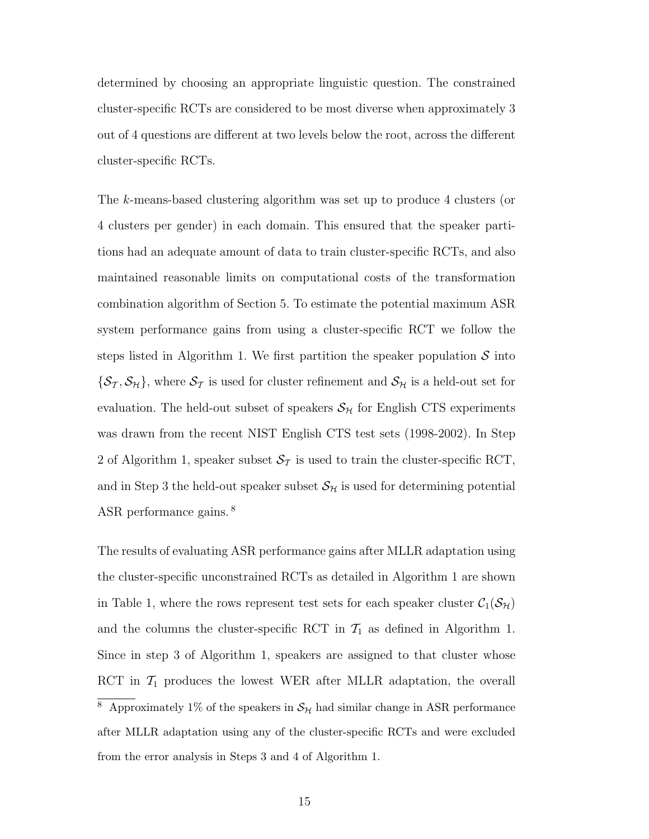determined by choosing an appropriate linguistic question. The constrained cluster-specific RCTs are considered to be most diverse when approximately 3 out of 4 questions are different at two levels below the root, across the different cluster-specific RCTs.

The k-means-based clustering algorithm was set up to produce 4 clusters (or 4 clusters per gender) in each domain. This ensured that the speaker partitions had an adequate amount of data to train cluster-specific RCTs, and also maintained reasonable limits on computational costs of the transformation combination algorithm of Section 5. To estimate the potential maximum ASR system performance gains from using a cluster-specific RCT we follow the steps listed in Algorithm 1. We first partition the speaker population  $S$  into  $\{\mathcal{S}_{\mathcal{T}},\mathcal{S}_{\mathcal{H}}\}\$ , where  $\mathcal{S}_{\mathcal{T}}$  is used for cluster refinement and  $\mathcal{S}_{\mathcal{H}}$  is a held-out set for evaluation. The held-out subset of speakers  $S_{H}$  for English CTS experiments was drawn from the recent NIST English CTS test sets (1998-2002). In Step 2 of Algorithm 1, speaker subset  $S<sub>T</sub>$  is used to train the cluster-specific RCT, and in Step 3 the held-out speaker subset  $S_{\mathcal{H}}$  is used for determining potential ASR performance gains. <sup>8</sup>

The results of evaluating ASR performance gains after MLLR adaptation using the cluster-specific unconstrained RCTs as detailed in Algorithm 1 are shown in Table 1, where the rows represent test sets for each speaker cluster  $C_1(\mathcal{S}_{H})$ and the columns the cluster-specific RCT in  $\mathcal{T}_1$  as defined in Algorithm 1. Since in step 3 of Algorithm 1, speakers are assigned to that cluster whose RCT in  $\mathcal{T}_1$  produces the lowest WER after MLLR adaptation, the overall  $^8\,$  Approximately 1% of the speakers in  $\mathcal{S}_{\mathcal{H}}$  had similar change in ASR performance after MLLR adaptation using any of the cluster-specific RCTs and were excluded from the error analysis in Steps 3 and 4 of Algorithm 1.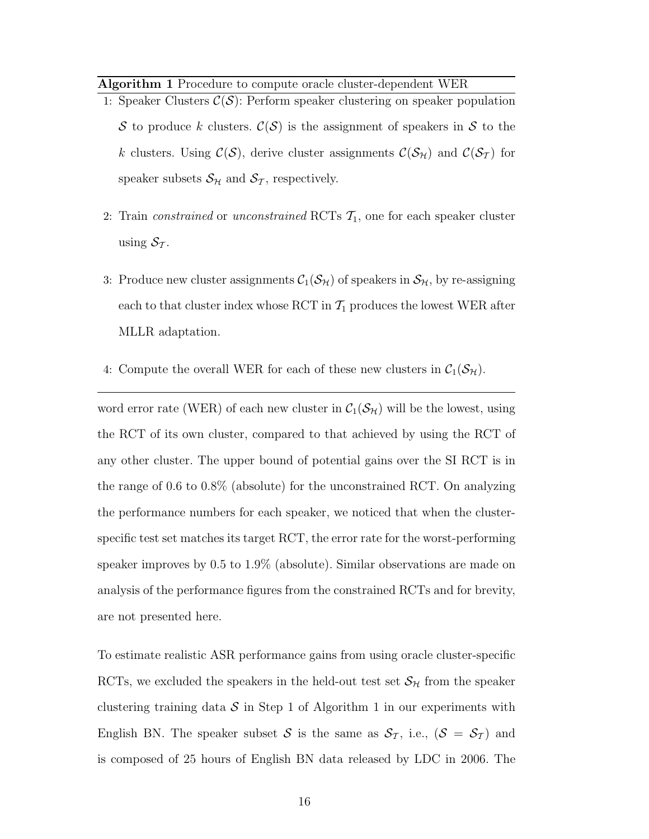**Algorithm 1** Procedure to compute oracle cluster-dependent WER

- 1: Speaker Clusters  $C(S)$ : Perform speaker clustering on speaker population S to produce k clusters.  $\mathcal{C}(\mathcal{S})$  is the assignment of speakers in S to the k clusters. Using  $\mathcal{C}(\mathcal{S})$ , derive cluster assignments  $\mathcal{C}(\mathcal{S}_{\mathcal{H}})$  and  $\mathcal{C}(\mathcal{S}_{\mathcal{T}})$  for speaker subsets  $S_{H}$  and  $S_{T}$ , respectively.
- 2: Train *constrained* or *unconstrained* RCTs  $\mathcal{T}_1$ , one for each speaker cluster using  $S_{\mathcal{T}}$ .
- 3: Produce new cluster assignments  $C_1(S_H)$  of speakers in  $S_H$ , by re-assigning each to that cluster index whose RCT in  $\mathcal{T}_1$  produces the lowest WER after MLLR adaptation.
- 4: Compute the overall WER for each of these new clusters in  $C_1(\mathcal{S}_{H})$ .

word error rate (WER) of each new cluster in  $C_1(\mathcal{S}_{H})$  will be the lowest, using the RCT of its own cluster, compared to that achieved by using the RCT of any other cluster. The upper bound of potential gains over the SI RCT is in the range of 0.6 to 0.8% (absolute) for the unconstrained RCT. On analyzing the performance numbers for each speaker, we noticed that when the clusterspecific test set matches its target RCT, the error rate for the worst-performing speaker improves by 0.5 to 1.9% (absolute). Similar observations are made on analysis of the performance figures from the constrained RCTs and for brevity, are not presented here.

To estimate realistic ASR performance gains from using oracle cluster-specific RCTs, we excluded the speakers in the held-out test set  $S_H$  from the speaker clustering training data  $S$  in Step 1 of Algorithm 1 in our experiments with English BN. The speaker subset S is the same as  $S_T$ , i.e.,  $(S = S_T)$  and is composed of 25 hours of English BN data released by LDC in 2006. The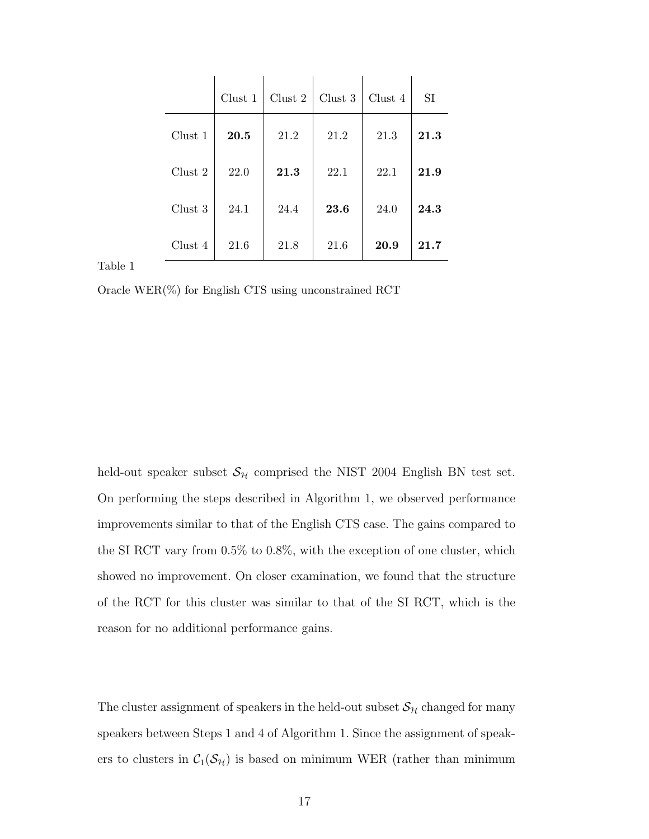|         | Clust 1    | Clust $2$ | Clust 3 | Clust 4 | SI   |
|---------|------------|-----------|---------|---------|------|
| Clust 1 | $\bf 20.5$ | 21.2      | 21.2    | 21.3    | 21.3 |
| Clust 2 | 22.0       | 21.3      | 22.1    | 22.1    | 21.9 |
| Clust 3 | 24.1       | 24.4      | 23.6    | 24.0    | 24.3 |
| Clust 4 | 21.6       | 21.8      | 21.6    | 20.9    | 21.7 |

Table 1

Oracle WER(%) for English CTS using unconstrained RCT

held-out speaker subset  $S_H$  comprised the NIST 2004 English BN test set. On performing the steps described in Algorithm 1, we observed performance improvements similar to that of the English CTS case. The gains compared to the SI RCT vary from 0.5% to 0.8%, with the exception of one cluster, which showed no improvement. On closer examination, we found that the structure of the RCT for this cluster was similar to that of the SI RCT, which is the reason for no additional performance gains.

The cluster assignment of speakers in the held-out subset  $\mathcal{S}_{\mathcal{H}}$  changed for many speakers between Steps 1 and 4 of Algorithm 1. Since the assignment of speakers to clusters in  $C_1(\mathcal{S}_H)$  is based on minimum WER (rather than minimum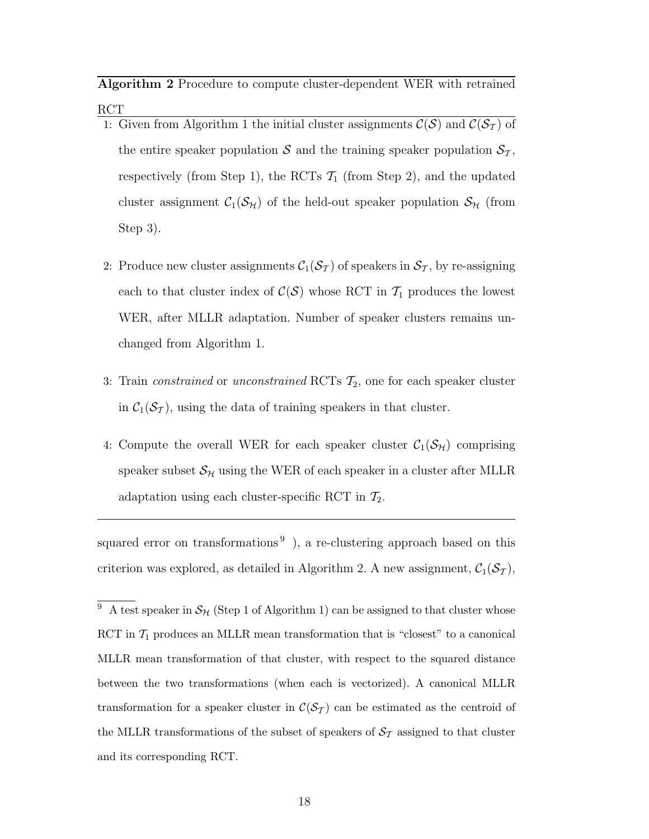**Algorithm 2** Procedure to compute cluster-dependent WER with retrained RCT

- 1: Given from Algorithm 1 the initial cluster assignments  $\mathcal{C}(\mathcal{S})$  and  $\mathcal{C}(\mathcal{S}_{\mathcal{T}})$  of the entire speaker population S and the training speaker population  $S_T$ , respectively (from Step 1), the RCTs  $\mathcal{T}_1$  (from Step 2), and the updated cluster assignment  $C_1(\mathcal{S}_H)$  of the held-out speaker population  $\mathcal{S}_H$  (from Step 3).
- 2: Produce new cluster assignments  $C_1(\mathcal{S}_T)$  of speakers in  $\mathcal{S}_T$ , by re-assigning each to that cluster index of  $C(S)$  whose RCT in  $\mathcal{T}_1$  produces the lowest WER, after MLLR adaptation. Number of speaker clusters remains unchanged from Algorithm 1.
- 3: Train *constrained* or *unconstrained* RCTs  $\mathcal{T}_2$ , one for each speaker cluster in  $C_1(\mathcal{S}_{\mathcal{I}})$ , using the data of training speakers in that cluster.
- 4: Compute the overall WER for each speaker cluster  $C_1(\mathcal{S}_{H})$  comprising speaker subset  $\mathcal{S}_{\mathcal{H}}$  using the WER of each speaker in a cluster after MLLR adaptation using each cluster-specific RCT in  $\mathcal{T}_2$ .

squared error on transformations<sup>9</sup>), a re-clustering approach based on this criterion was explored, as detailed in Algorithm 2. A new assignment,  $C_1(S_T)$ ,

<sup>&</sup>lt;sup>9</sup> A test speaker in  $\mathcal{S}_{H}$  (Step 1 of Algorithm 1) can be assigned to that cluster whose RCT in  $\mathcal{T}_1$  produces an MLLR mean transformation that is "closest" to a canonical MLLR mean transformation of that cluster, with respect to the squared distance between the two transformations (when each is vectorized). A canonical MLLR transformation for a speaker cluster in  $\mathcal{C}(\mathcal{S}_{\mathcal{T}})$  can be estimated as the centroid of the MLLR transformations of the subset of speakers of  $\mathcal{S}_{\mathcal{T}}$  assigned to that cluster and its corresponding RCT.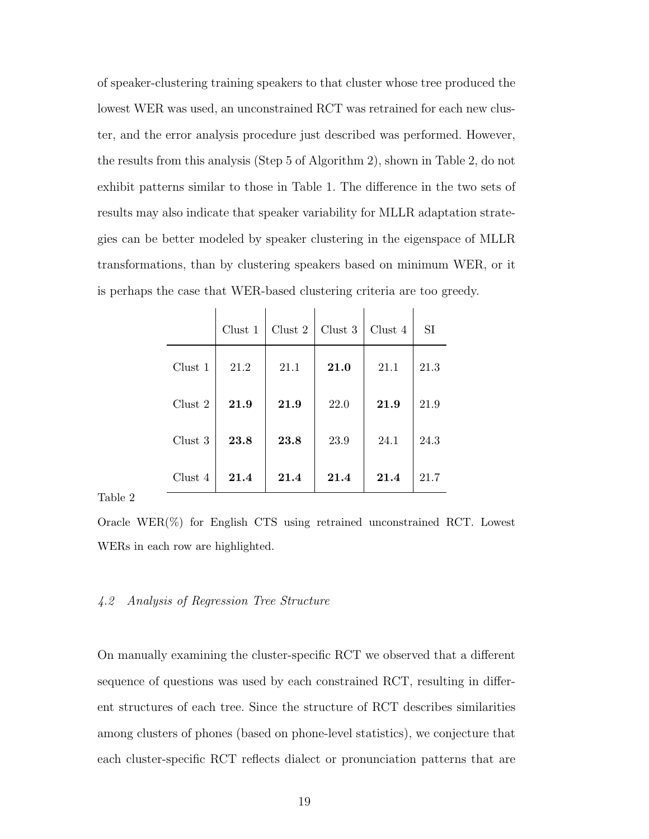of speaker-clustering training speakers to that cluster whose tree produced the lowest WER was used, an unconstrained RCT was retrained for each new cluster, and the error analysis procedure just described was performed. However, the results from this analysis (Step 5 of Algorithm 2), shown in Table 2, do not exhibit patterns similar to those in Table 1. The difference in the two sets of results may also indicate that speaker variability for MLLR adaptation strategies can be better modeled by speaker clustering in the eigenspace of MLLR transformations, than by clustering speakers based on minimum WER, or it is perhaps the case that WER-based clustering criteria are too greedy.

|         | Clust 1 | Clust 2 | Clust 3 | Clust 4 | SI   |
|---------|---------|---------|---------|---------|------|
| Clust 1 | 21.2    | 21.1    | 21.0    | 21.1    | 21.3 |
| Clust 2 | 21.9    | 21.9    | 22.0    | 21.9    | 21.9 |
| Clust 3 | 23.8    | 23.8    | 23.9    | 24.1    | 24.3 |
| Clust 4 | 21.4    | 21.4    | 21.4    | 21.4    | 21.7 |

Table 2

Oracle WER(%) for English CTS using retrained unconstrained RCT. Lowest WERs in each row are highlighted.

#### 4.2 Analysis of Regression Tree Structure

On manually examining the cluster-specific RCT we observed that a different sequence of questions was used by each constrained RCT, resulting in different structures of each tree. Since the structure of RCT describes similarities among clusters of phones (based on phone-level statistics), we conjecture that each cluster-specific RCT reflects dialect or pronunciation patterns that are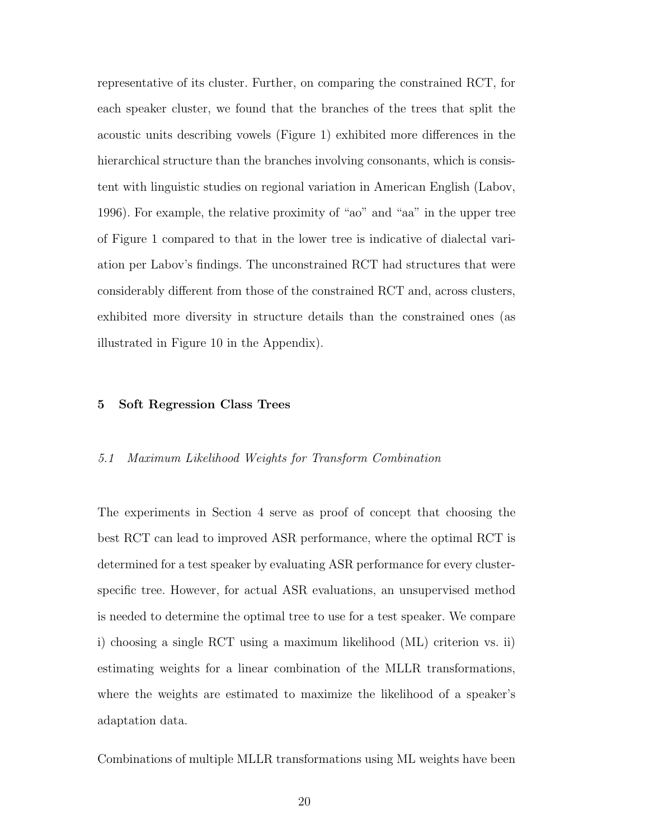representative of its cluster. Further, on comparing the constrained RCT, for each speaker cluster, we found that the branches of the trees that split the acoustic units describing vowels (Figure 1) exhibited more differences in the hierarchical structure than the branches involving consonants, which is consistent with linguistic studies on regional variation in American English (Labov, 1996). For example, the relative proximity of "ao" and "aa" in the upper tree of Figure 1 compared to that in the lower tree is indicative of dialectal variation per Labov's findings. The unconstrained RCT had structures that were considerably different from those of the constrained RCT and, across clusters, exhibited more diversity in structure details than the constrained ones (as illustrated in Figure 10 in the Appendix).

#### **5 Soft Regression Class Trees**

#### 5.1 Maximum Likelihood Weights for Transform Combination

The experiments in Section 4 serve as proof of concept that choosing the best RCT can lead to improved ASR performance, where the optimal RCT is determined for a test speaker by evaluating ASR performance for every clusterspecific tree. However, for actual ASR evaluations, an unsupervised method is needed to determine the optimal tree to use for a test speaker. We compare i) choosing a single RCT using a maximum likelihood (ML) criterion vs. ii) estimating weights for a linear combination of the MLLR transformations, where the weights are estimated to maximize the likelihood of a speaker's adaptation data.

Combinations of multiple MLLR transformations using ML weights have been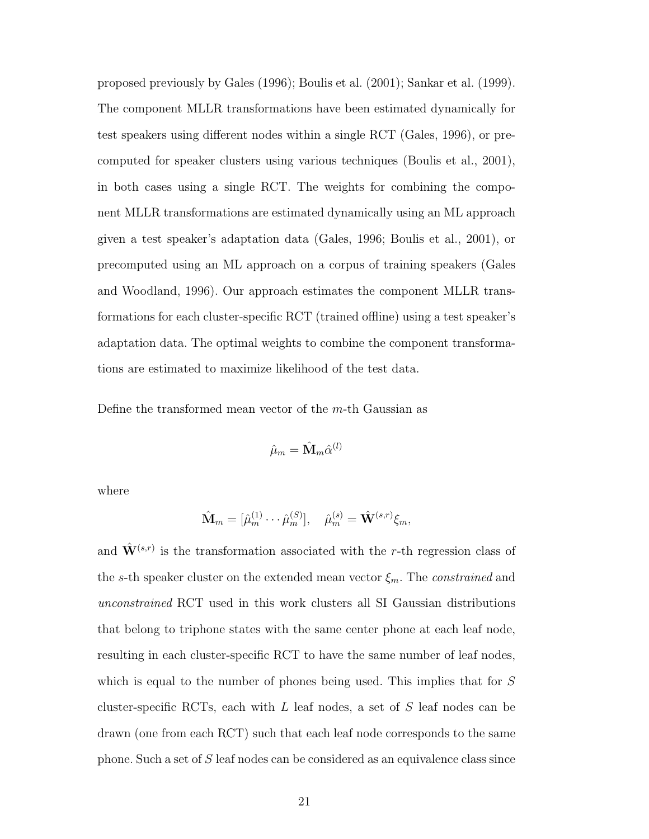proposed previously by Gales (1996); Boulis et al. (2001); Sankar et al. (1999). The component MLLR transformations have been estimated dynamically for test speakers using different nodes within a single RCT (Gales, 1996), or precomputed for speaker clusters using various techniques (Boulis et al., 2001), in both cases using a single RCT. The weights for combining the component MLLR transformations are estimated dynamically using an ML approach given a test speaker's adaptation data (Gales, 1996; Boulis et al., 2001), or precomputed using an ML approach on a corpus of training speakers (Gales and Woodland, 1996). Our approach estimates the component MLLR transformations for each cluster-specific RCT (trained offline) using a test speaker's adaptation data. The optimal weights to combine the component transformations are estimated to maximize likelihood of the test data.

Define the transformed mean vector of the  $m$ -th Gaussian as

$$
\hat{\mu}_m = \hat{\mathbf{M}}_m \hat{\alpha}^{(l)}
$$

where

$$
\hat{\mathbf{M}}_m = [\hat{\mu}_m^{(1)} \cdots \hat{\mu}_m^{(S)}], \quad \hat{\mu}_m^{(s)} = \hat{\mathbf{W}}^{(s,r)} \xi_m,
$$

and  $\hat{\mathbf{W}}^{(s,r)}$  is the transformation associated with the r-th regression class of the s-th speaker cluster on the extended mean vector  $\xi_m$ . The *constrained* and unconstrained RCT used in this work clusters all SI Gaussian distributions that belong to triphone states with the same center phone at each leaf node, resulting in each cluster-specific RCT to have the same number of leaf nodes, which is equal to the number of phones being used. This implies that for S cluster-specific RCTs, each with  $L$  leaf nodes, a set of  $S$  leaf nodes can be drawn (one from each RCT) such that each leaf node corresponds to the same phone. Such a set of S leaf nodes can be considered as an equivalence class since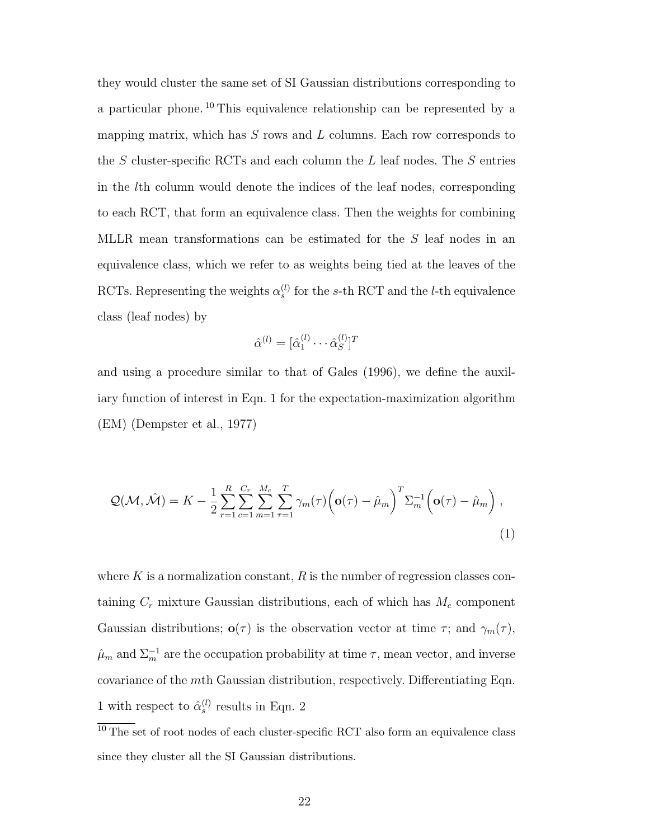they would cluster the same set of SI Gaussian distributions corresponding to a particular phone. <sup>10</sup> This equivalence relationship can be represented by a mapping matrix, which has  $S$  rows and  $L$  columns. Each row corresponds to the  $S$  cluster-specific RCTs and each column the  $L$  leaf nodes. The  $S$  entries in the lth column would denote the indices of the leaf nodes, corresponding to each RCT, that form an equivalence class. Then the weights for combining MLLR mean transformations can be estimated for the S leaf nodes in an equivalence class, which we refer to as weights being tied at the leaves of the RCTs. Representing the weights  $\alpha_s^{(l)}$  for the s-th RCT and the *l*-th equivalence class (leaf nodes) by

$$
\hat{\alpha}^{(l)} = [\hat{\alpha}_1^{(l)} \cdots \hat{\alpha}_S^{(l)}]^T
$$

and using a procedure similar to that of Gales (1996), we define the auxiliary function of interest in Eqn. 1 for the expectation-maximization algorithm (EM) (Dempster et al., 1977)

$$
\mathcal{Q}(\mathcal{M},\hat{\mathcal{M}}) = K - \frac{1}{2} \sum_{r=1}^{R} \sum_{c=1}^{C_r} \sum_{m=1}^{M_c} \sum_{\tau=1}^{T} \gamma_m(\tau) \left(\mathbf{o}(\tau) - \hat{\mu}_m\right)^T \Sigma_m^{-1} \left(\mathbf{o}(\tau) - \hat{\mu}_m\right),\tag{1}
$$

where  $K$  is a normalization constant,  $R$  is the number of regression classes containing  $C_r$  mixture Gaussian distributions, each of which has  $M_c$  component Gaussian distributions;  $\mathbf{o}(\tau)$  is the observation vector at time  $\tau$ ; and  $\gamma_m(\tau)$ ,  $\hat{\mu}_m$  and  $\Sigma_m^{-1}$  are the occupation probability at time  $\tau$ , mean vector, and inverse covariance of the mth Gaussian distribution, respectively. Differentiating Eqn. 1 with respect to  $\hat{\alpha}_s^{(l)}$  results in Eqn. 2

 $\overline{^{10}$  The set of root nodes of each cluster-specific RCT also form an equivalence class since they cluster all the SI Gaussian distributions.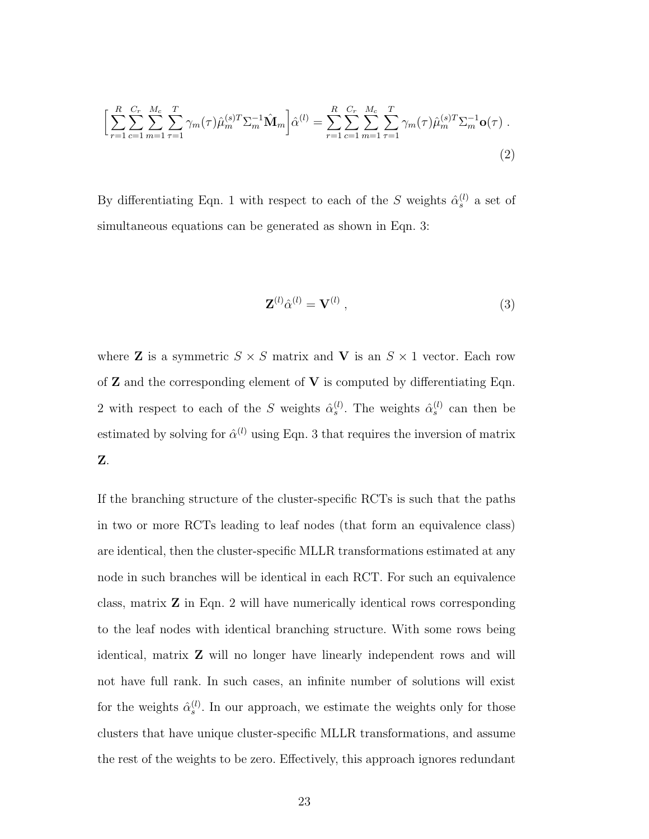$$
\left[\sum_{r=1}^{R} \sum_{c=1}^{C_r} \sum_{m=1}^{M_c} \sum_{\tau=1}^{T} \gamma_m(\tau) \hat{\mu}_m^{(s)T} \Sigma_m^{-1} \hat{\mathbf{M}}_m \right] \hat{\alpha}^{(l)} = \sum_{r=1}^{R} \sum_{c=1}^{C_r} \sum_{m=1}^{M_c} \sum_{\tau=1}^{T} \gamma_m(\tau) \hat{\mu}_m^{(s)T} \Sigma_m^{-1} \mathbf{o}(\tau) .
$$
\n(2)

By differentiating Eqn. 1 with respect to each of the S weights  $\hat{\alpha}_s^{(l)}$  a set of simultaneous equations can be generated as shown in Eqn. 3:

$$
\mathbf{Z}^{(l)}\hat{\alpha}^{(l)} = \mathbf{V}^{(l)}\,,\tag{3}
$$

where **Z** is a symmetric  $S \times S$  matrix and **V** is an  $S \times 1$  vector. Each row of  $Z$  and the corresponding element of  $V$  is computed by differentiating Eqn. 2 with respect to each of the S weights  $\hat{\alpha}_s^{(l)}$ . The weights  $\hat{\alpha}_s^{(l)}$  can then be estimated by solving for  $\hat{\alpha}^{(l)}$  using Eqn. 3 that requires the inversion of matrix **Z**.

If the branching structure of the cluster-specific RCTs is such that the paths in two or more RCTs leading to leaf nodes (that form an equivalence class) are identical, then the cluster-specific MLLR transformations estimated at any node in such branches will be identical in each RCT. For such an equivalence class, matrix **Z** in Eqn. 2 will have numerically identical rows corresponding to the leaf nodes with identical branching structure. With some rows being identical, matrix **Z** will no longer have linearly independent rows and will not have full rank. In such cases, an infinite number of solutions will exist for the weights  $\hat{\alpha}_s^{(l)}$ . In our approach, we estimate the weights only for those clusters that have unique cluster-specific MLLR transformations, and assume the rest of the weights to be zero. Effectively, this approach ignores redundant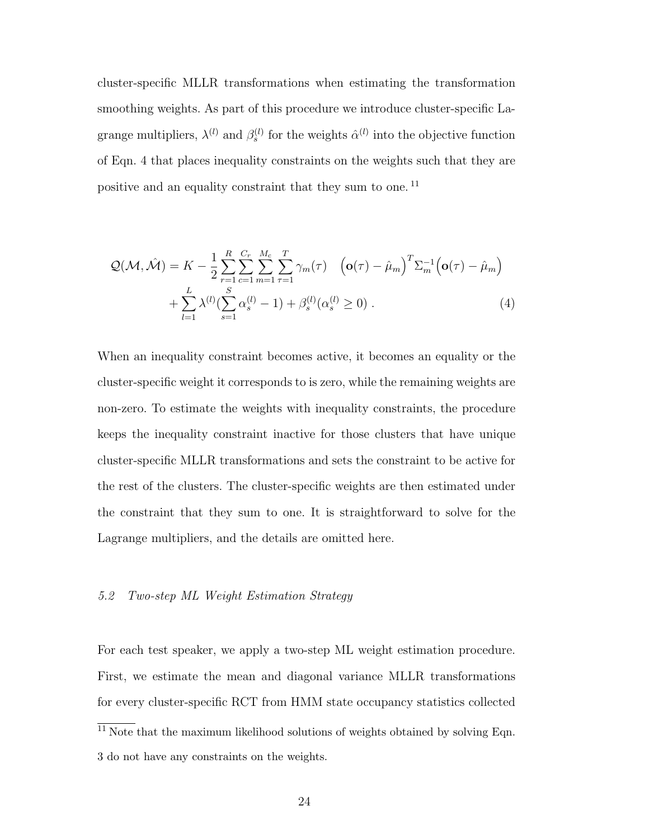cluster-specific MLLR transformations when estimating the transformation smoothing weights. As part of this procedure we introduce cluster-specific Lagrange multipliers,  $\lambda^{(l)}$  and  $\beta_s^{(l)}$  for the weights  $\hat{\alpha}^{(l)}$  into the objective function of Eqn. 4 that places inequality constraints on the weights such that they are positive and an equality constraint that they sum to one. <sup>11</sup>

$$
\mathcal{Q}(\mathcal{M}, \hat{\mathcal{M}}) = K - \frac{1}{2} \sum_{r=1}^{R} \sum_{c=1}^{C_r} \sum_{m=1}^{M_c} \sum_{\tau=1}^{T} \gamma_m(\tau) \left( \mathbf{o}(\tau) - \hat{\mu}_m \right)^T \Sigma_m^{-1} \left( \mathbf{o}(\tau) - \hat{\mu}_m \right) + \sum_{l=1}^{L} \lambda^{(l)} (\sum_{s=1}^{S} \alpha_s^{(l)} - 1) + \beta_s^{(l)} (\alpha_s^{(l)} \ge 0) \tag{4}
$$

When an inequality constraint becomes active, it becomes an equality or the cluster-specific weight it corresponds to is zero, while the remaining weights are non-zero. To estimate the weights with inequality constraints, the procedure keeps the inequality constraint inactive for those clusters that have unique cluster-specific MLLR transformations and sets the constraint to be active for the rest of the clusters. The cluster-specific weights are then estimated under the constraint that they sum to one. It is straightforward to solve for the Lagrange multipliers, and the details are omitted here.

#### 5.2 Two-step ML Weight Estimation Strategy

For each test speaker, we apply a two-step ML weight estimation procedure. First, we estimate the mean and diagonal variance MLLR transformations for every cluster-specific RCT from HMM state occupancy statistics collected

 $\frac{11}{11}$  Note that the maximum likelihood solutions of weights obtained by solving Eqn. 3 do not have any constraints on the weights.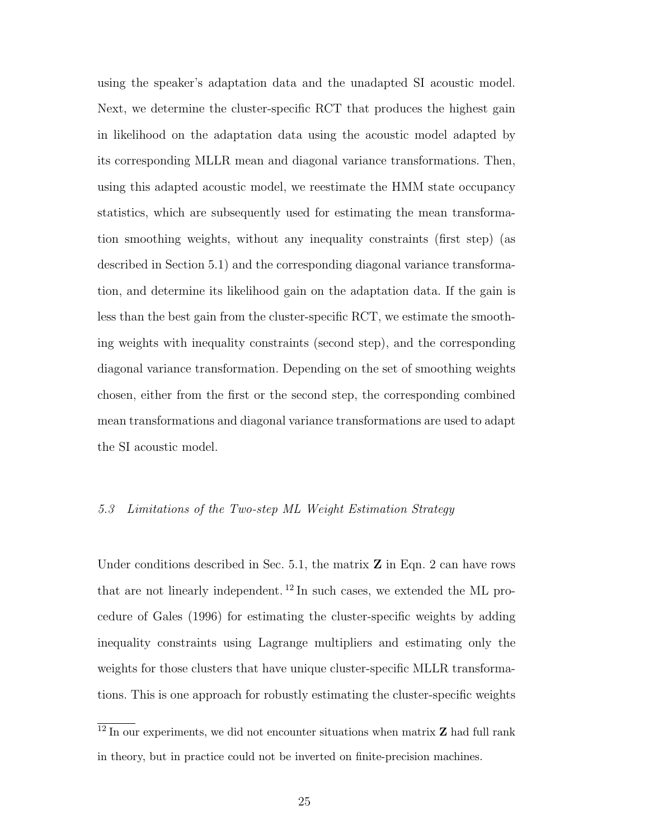using the speaker's adaptation data and the unadapted SI acoustic model. Next, we determine the cluster-specific RCT that produces the highest gain in likelihood on the adaptation data using the acoustic model adapted by its corresponding MLLR mean and diagonal variance transformations. Then, using this adapted acoustic model, we reestimate the HMM state occupancy statistics, which are subsequently used for estimating the mean transformation smoothing weights, without any inequality constraints (first step) (as described in Section 5.1) and the corresponding diagonal variance transformation, and determine its likelihood gain on the adaptation data. If the gain is less than the best gain from the cluster-specific RCT, we estimate the smoothing weights with inequality constraints (second step), and the corresponding diagonal variance transformation. Depending on the set of smoothing weights chosen, either from the first or the second step, the corresponding combined mean transformations and diagonal variance transformations are used to adapt the SI acoustic model.

# 5.3 Limitations of the Two-step ML Weight Estimation Strategy

Under conditions described in Sec. 5.1, the matrix **Z** in Eqn. 2 can have rows that are not linearly independent. <sup>12</sup> In such cases, we extended the ML procedure of Gales (1996) for estimating the cluster-specific weights by adding inequality constraints using Lagrange multipliers and estimating only the weights for those clusters that have unique cluster-specific MLLR transformations. This is one approach for robustly estimating the cluster-specific weights

<sup>12</sup> In our experiments, we did not encounter situations when matrix **Z** had full rank in theory, but in practice could not be inverted on finite-precision machines.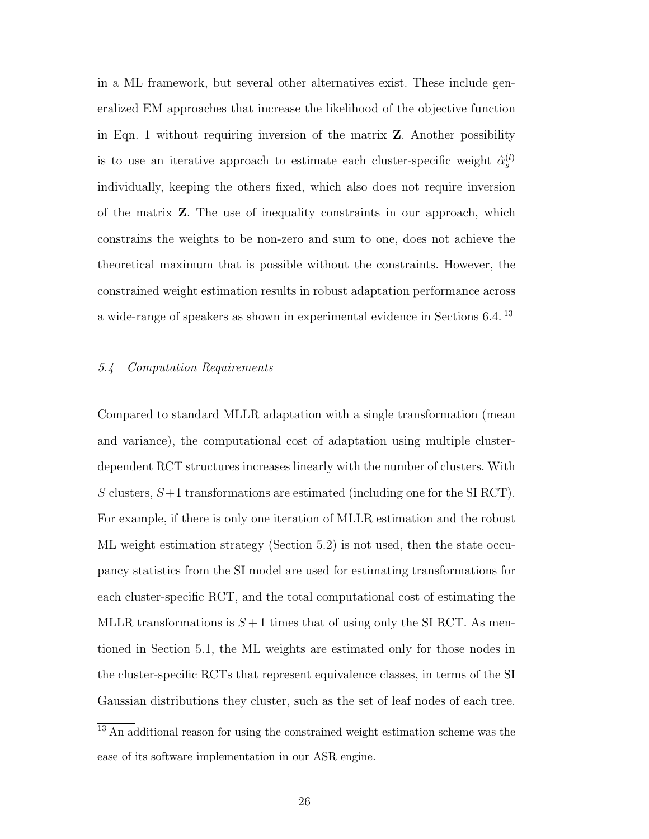in a ML framework, but several other alternatives exist. These include generalized EM approaches that increase the likelihood of the objective function in Eqn. 1 without requiring inversion of the matrix **Z**. Another possibility is to use an iterative approach to estimate each cluster-specific weight  $\hat{\alpha}_s^{(l)}$ individually, keeping the others fixed, which also does not require inversion of the matrix **Z**. The use of inequality constraints in our approach, which constrains the weights to be non-zero and sum to one, does not achieve the theoretical maximum that is possible without the constraints. However, the constrained weight estimation results in robust adaptation performance across a wide-range of speakers as shown in experimental evidence in Sections 6.4. <sup>13</sup>

#### 5.4 Computation Requirements

Compared to standard MLLR adaptation with a single transformation (mean and variance), the computational cost of adaptation using multiple clusterdependent RCT structures increases linearly with the number of clusters. With S clusters,  $S+1$  transformations are estimated (including one for the SI RCT). For example, if there is only one iteration of MLLR estimation and the robust ML weight estimation strategy (Section 5.2) is not used, then the state occupancy statistics from the SI model are used for estimating transformations for each cluster-specific RCT, and the total computational cost of estimating the MLLR transformations is  $S+1$  times that of using only the SI RCT. As mentioned in Section 5.1, the ML weights are estimated only for those nodes in the cluster-specific RCTs that represent equivalence classes, in terms of the SI Gaussian distributions they cluster, such as the set of leaf nodes of each tree.

<sup>&</sup>lt;sup>13</sup> An additional reason for using the constrained weight estimation scheme was the ease of its software implementation in our ASR engine.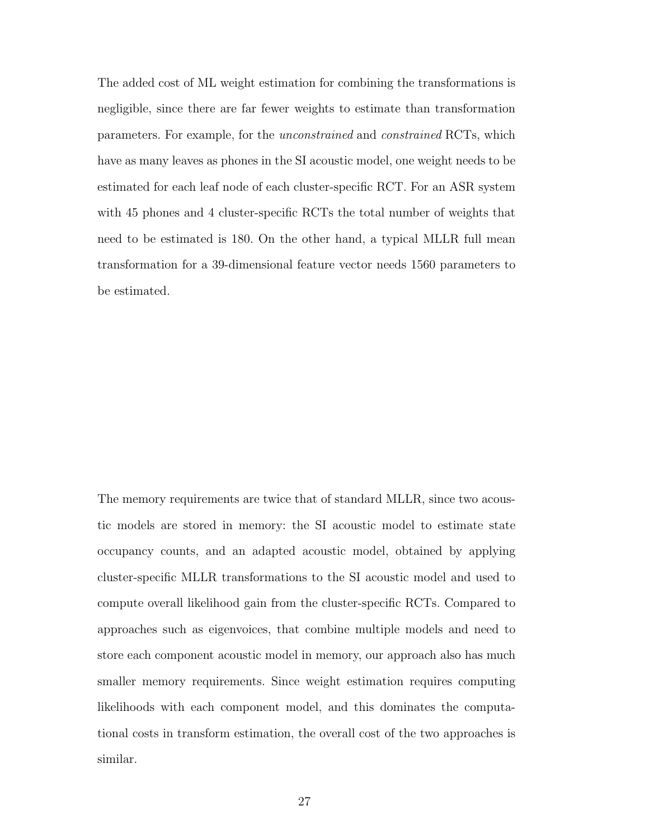The added cost of ML weight estimation for combining the transformations is negligible, since there are far fewer weights to estimate than transformation parameters. For example, for the unconstrained and constrained RCTs, which have as many leaves as phones in the SI acoustic model, one weight needs to be estimated for each leaf node of each cluster-specific RCT. For an ASR system with 45 phones and 4 cluster-specific RCTs the total number of weights that need to be estimated is 180. On the other hand, a typical MLLR full mean transformation for a 39-dimensional feature vector needs 1560 parameters to be estimated.

The memory requirements are twice that of standard MLLR, since two acoustic models are stored in memory: the SI acoustic model to estimate state occupancy counts, and an adapted acoustic model, obtained by applying cluster-specific MLLR transformations to the SI acoustic model and used to compute overall likelihood gain from the cluster-specific RCTs. Compared to approaches such as eigenvoices, that combine multiple models and need to store each component acoustic model in memory, our approach also has much smaller memory requirements. Since weight estimation requires computing likelihoods with each component model, and this dominates the computational costs in transform estimation, the overall cost of the two approaches is similar.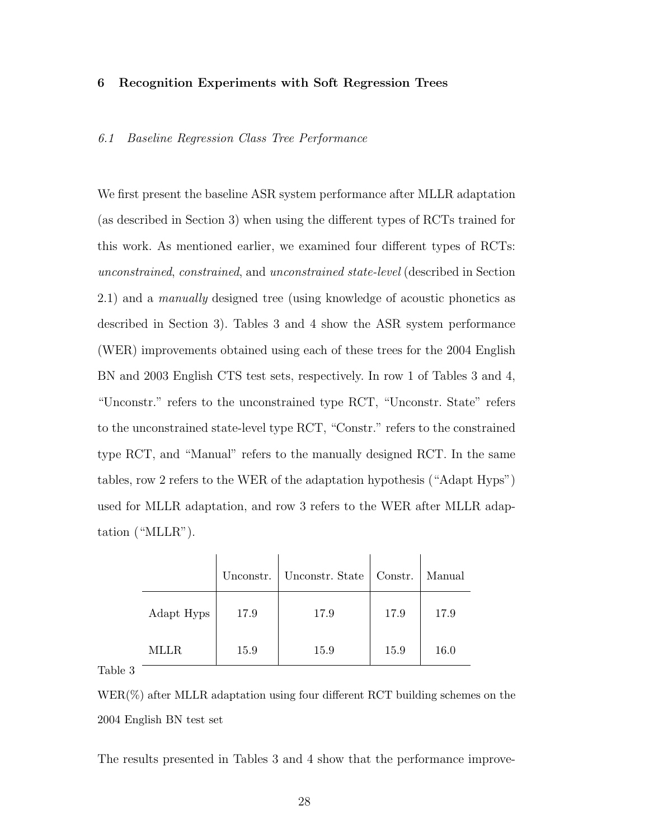#### **6 Recognition Experiments with Soft Regression Trees**

#### 6.1 Baseline Regression Class Tree Performance

We first present the baseline ASR system performance after MLLR adaptation (as described in Section 3) when using the different types of RCTs trained for this work. As mentioned earlier, we examined four different types of RCTs: unconstrained, constrained, and unconstrained state-level (described in Section 2.1) and a manually designed tree (using knowledge of acoustic phonetics as described in Section 3). Tables 3 and 4 show the ASR system performance (WER) improvements obtained using each of these trees for the 2004 English BN and 2003 English CTS test sets, respectively. In row 1 of Tables 3 and 4, "Unconstr." refers to the unconstrained type RCT, "Unconstr. State" refers to the unconstrained state-level type RCT, "Constr." refers to the constrained type RCT, and "Manual" refers to the manually designed RCT. In the same tables, row 2 refers to the WER of the adaptation hypothesis ("Adapt Hyps") used for MLLR adaptation, and row 3 refers to the WER after MLLR adaptation ("MLLR").

|            | Unconstr. | Unconstr. State | Constr. | Manual |
|------------|-----------|-----------------|---------|--------|
| Adapt Hyps | 17.9      | 17.9            | 17.9    | 17.9   |
| MLLR.      | 15.9      | 15.9            | 15.9    | 16.0   |

Table 3

WER(%) after MLLR adaptation using four different RCT building schemes on the 2004 English BN test set

The results presented in Tables 3 and 4 show that the performance improve-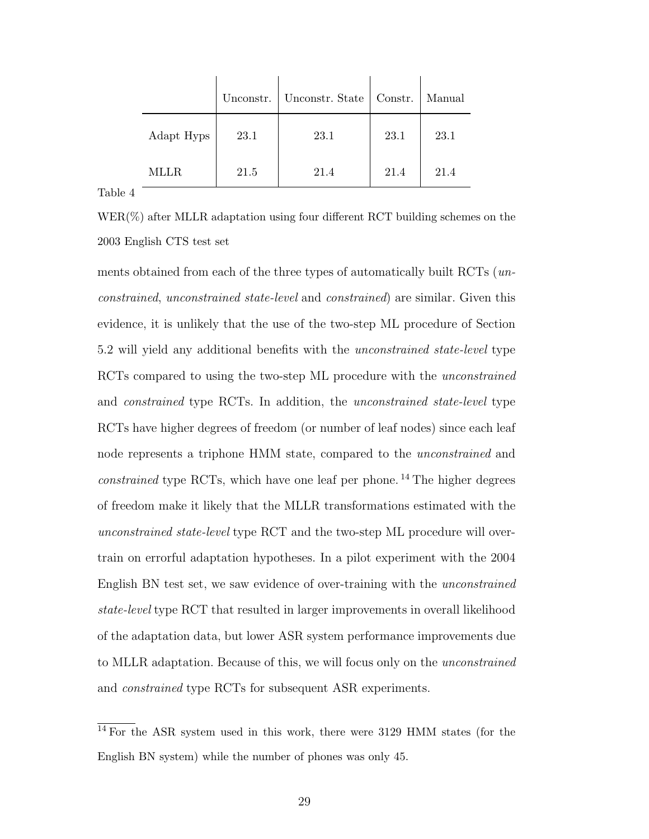|            | Unconstr. | Unconstr. State   Constr. |      | Manual |
|------------|-----------|---------------------------|------|--------|
| Adapt Hyps | 23.1      | 23.1                      | 23.1 | 23.1   |
| MLLR       | 21.5      | 21.4                      | 21.4 | 21.4   |

Table 4

WER(%) after MLLR adaptation using four different RCT building schemes on the 2003 English CTS test set

ments obtained from each of the three types of automatically built RCTs (unconstrained, unconstrained state-level and constrained) are similar. Given this evidence, it is unlikely that the use of the two-step ML procedure of Section 5.2 will yield any additional benefits with the unconstrained state-level type RCTs compared to using the two-step ML procedure with the *unconstrained* and constrained type RCTs. In addition, the unconstrained state-level type RCTs have higher degrees of freedom (or number of leaf nodes) since each leaf node represents a triphone HMM state, compared to the unconstrained and *constrained* type RCTs, which have one leaf per phone.<sup>14</sup> The higher degrees of freedom make it likely that the MLLR transformations estimated with the unconstrained state-level type RCT and the two-step ML procedure will overtrain on errorful adaptation hypotheses. In a pilot experiment with the 2004 English BN test set, we saw evidence of over-training with the unconstrained state-level type RCT that resulted in larger improvements in overall likelihood of the adaptation data, but lower ASR system performance improvements due to MLLR adaptation. Because of this, we will focus only on the unconstrained and constrained type RCTs for subsequent ASR experiments.

<sup>&</sup>lt;sup>14</sup> For the ASR system used in this work, there were 3129 HMM states (for the English BN system) while the number of phones was only 45.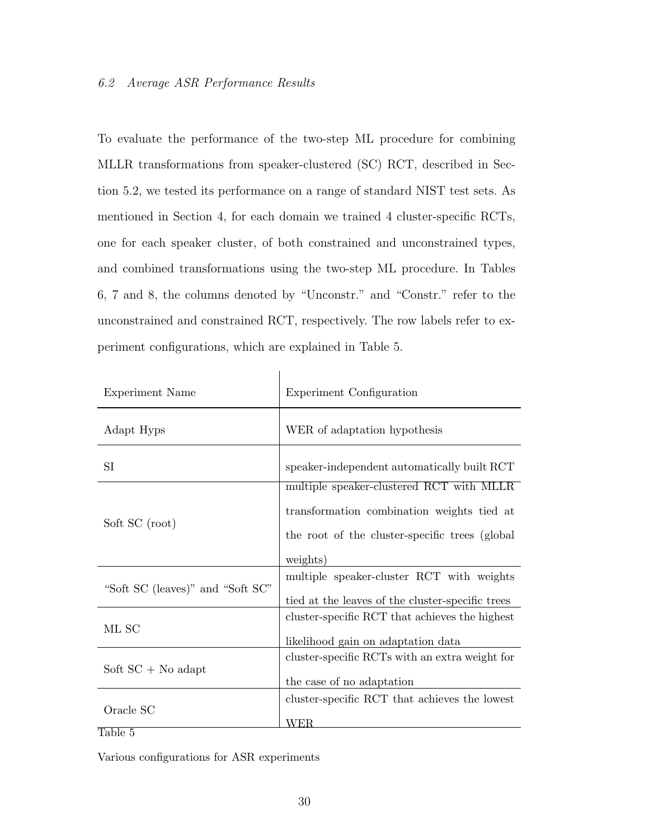# 6.2 Average ASR Performance Results

To evaluate the performance of the two-step ML procedure for combining MLLR transformations from speaker-clustered (SC) RCT, described in Section 5.2, we tested its performance on a range of standard NIST test sets. As mentioned in Section 4, for each domain we trained 4 cluster-specific RCTs, one for each speaker cluster, of both constrained and unconstrained types, and combined transformations using the two-step ML procedure. In Tables 6, 7 and 8, the columns denoted by "Unconstr." and "Constr." refer to the unconstrained and constrained RCT, respectively. The row labels refer to experiment configurations, which are explained in Table 5.

| Experiment Name                  | Experiment Configuration                                                                                                                              |
|----------------------------------|-------------------------------------------------------------------------------------------------------------------------------------------------------|
| Adapt Hyps                       | WER of adaptation hypothesis                                                                                                                          |
| SI                               | speaker-independent automatically built RCT                                                                                                           |
| Soft SC (root)                   | multiple speaker-clustered RCT with MLLR<br>transformation combination weights tied at<br>the root of the cluster-specific trees (global)<br>weights) |
| "Soft SC (leaves)" and "Soft SC" | multiple speaker-cluster RCT with weights<br>tied at the leaves of the cluster-specific trees                                                         |
| ML SC                            | cluster-specific RCT that achieves the highest<br>likelihood gain on adaptation data                                                                  |
| Soft $SC + No$ adapt             | cluster-specific RCTs with an extra weight for<br>the case of no adaptation                                                                           |
| Oracle SC                        | cluster-specific RCT that achieves the lowest<br>WER.                                                                                                 |

Table 5

Various configurations for ASR experiments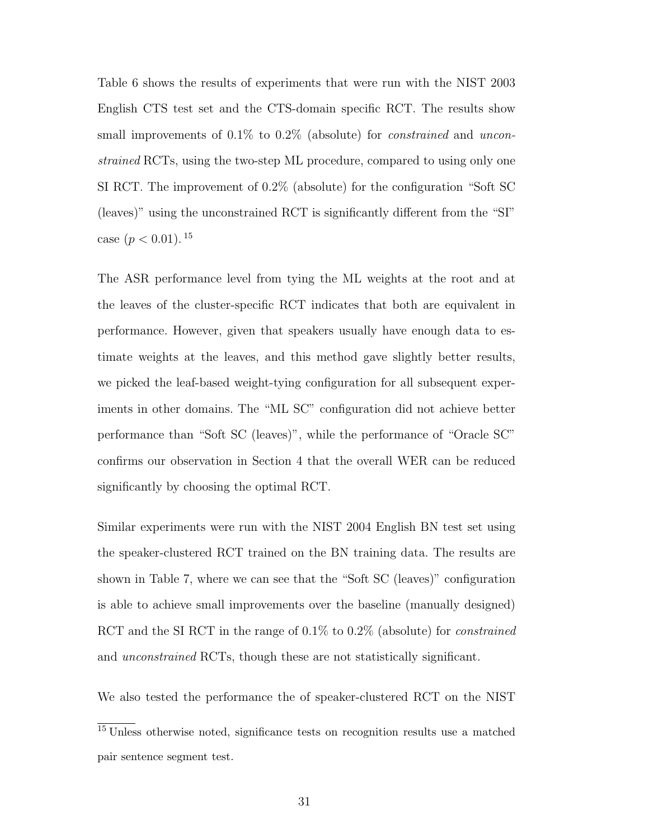Table 6 shows the results of experiments that were run with the NIST 2003 English CTS test set and the CTS-domain specific RCT. The results show small improvements of 0.1% to 0.2% (absolute) for *constrained* and *uncon*strained RCTs, using the two-step ML procedure, compared to using only one SI RCT. The improvement of 0.2% (absolute) for the configuration "Soft SC (leaves)" using the unconstrained RCT is significantly different from the "SI" case  $(p < 0.01)$ . <sup>15</sup>

The ASR performance level from tying the ML weights at the root and at the leaves of the cluster-specific RCT indicates that both are equivalent in performance. However, given that speakers usually have enough data to estimate weights at the leaves, and this method gave slightly better results, we picked the leaf-based weight-tying configuration for all subsequent experiments in other domains. The "ML SC" configuration did not achieve better performance than "Soft SC (leaves)", while the performance of "Oracle SC" confirms our observation in Section 4 that the overall WER can be reduced significantly by choosing the optimal RCT.

Similar experiments were run with the NIST 2004 English BN test set using the speaker-clustered RCT trained on the BN training data. The results are shown in Table 7, where we can see that the "Soft SC (leaves)" configuration is able to achieve small improvements over the baseline (manually designed) RCT and the SI RCT in the range of 0.1% to 0.2% (absolute) for *constrained* and unconstrained RCTs, though these are not statistically significant.

We also tested the performance the of speaker-clustered RCT on the NIST

<sup>15</sup> Unless otherwise noted, significance tests on recognition results use a matched pair sentence segment test.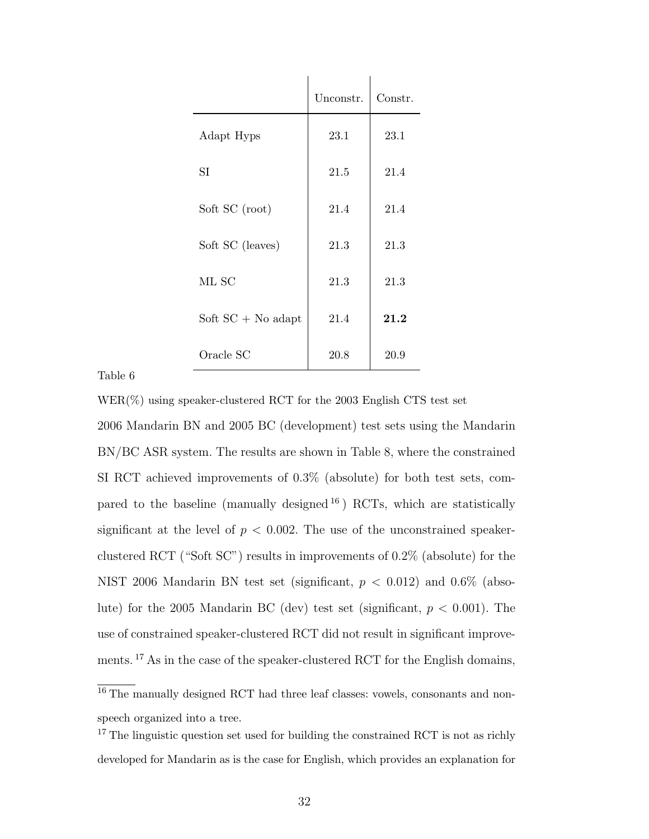|                      | Unconstr. | Constr. |
|----------------------|-----------|---------|
| Adapt Hyps           | 23.1      | 23.1    |
| <b>SI</b>            | 21.5      | 21.4    |
| Soft SC (root)       | 21.4      | 21.4    |
| Soft SC (leaves)     | 21.3      | 21.3    |
| ML SC                | 21.3      | 21.3    |
| Soft $SC + No$ adapt | 21.4      | 21.2    |
| Oracle SC            | 20.8      | 20.9    |

# Table 6

WER(%) using speaker-clustered RCT for the 2003 English CTS test set

2006 Mandarin BN and 2005 BC (development) test sets using the Mandarin BN/BC ASR system. The results are shown in Table 8, where the constrained SI RCT achieved improvements of 0.3% (absolute) for both test sets, compared to the baseline (manually designed  $^{16}$ ) RCTs, which are statistically significant at the level of  $p < 0.002$ . The use of the unconstrained speakerclustered RCT ("Soft SC") results in improvements of 0.2% (absolute) for the NIST 2006 Mandarin BN test set (significant,  $p < 0.012$ ) and 0.6% (absolute) for the 2005 Mandarin BC (dev) test set (significant,  $p < 0.001$ ). The use of constrained speaker-clustered RCT did not result in significant improvements. <sup>17</sup> As in the case of the speaker-clustered RCT for the English domains,

<sup>&</sup>lt;sup>16</sup> The manually designed RCT had three leaf classes: vowels, consonants and nonspeech organized into a tree.

<sup>&</sup>lt;sup>17</sup> The linguistic question set used for building the constrained RCT is not as richly developed for Mandarin as is the case for English, which provides an explanation for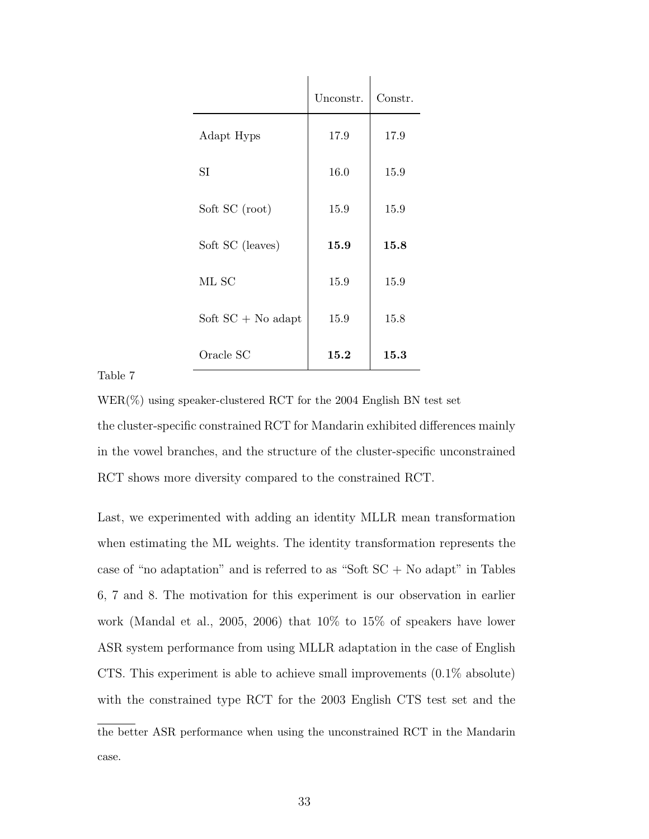|                      | Unconstr. | Constr. |
|----------------------|-----------|---------|
| Adapt Hyps           | 17.9      | 17.9    |
| <b>SI</b>            | 16.0      | 15.9    |
| Soft SC (root)       | 15.9      | 15.9    |
| Soft SC (leaves)     | 15.9      | 15.8    |
| ML SC                | 15.9      | 15.9    |
| Soft $SC + No$ adapt | 15.9      | 15.8    |
| Oracle SC            | 15.2      | 15.3    |

# Table 7

 $WER(\%)$  using speaker-clustered RCT for the 2004 English BN test set the cluster-specific constrained RCT for Mandarin exhibited differences mainly in the vowel branches, and the structure of the cluster-specific unconstrained RCT shows more diversity compared to the constrained RCT.

Last, we experimented with adding an identity MLLR mean transformation when estimating the ML weights. The identity transformation represents the case of "no adaptation" and is referred to as "Soft  $SC + No$  adapt" in Tables 6, 7 and 8. The motivation for this experiment is our observation in earlier work (Mandal et al., 2005, 2006) that 10% to 15% of speakers have lower ASR system performance from using MLLR adaptation in the case of English CTS. This experiment is able to achieve small improvements (0.1% absolute) with the constrained type RCT for the 2003 English CTS test set and the the better ASR performance when using the unconstrained RCT in the Mandarin case.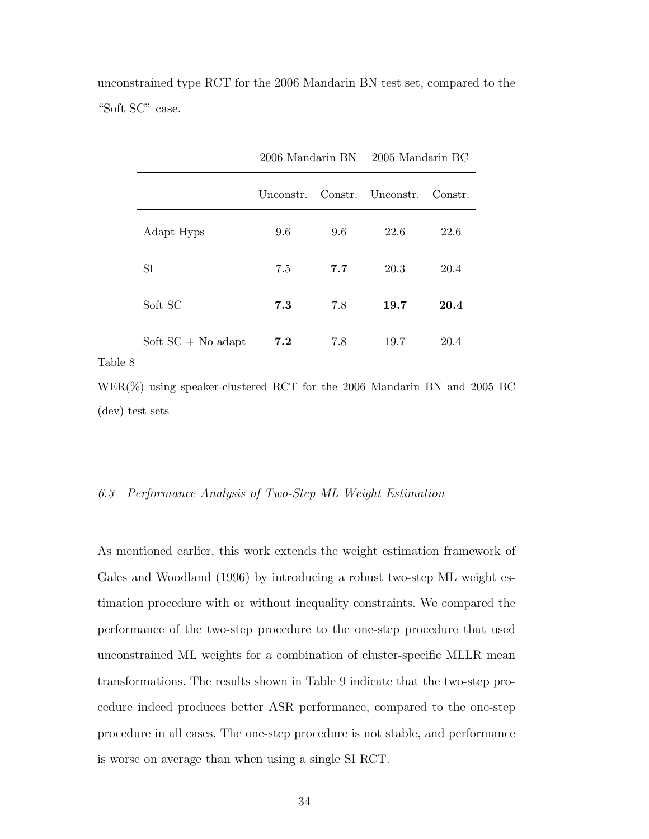unconstrained type RCT for the 2006 Mandarin BN test set, compared to the "Soft SC" case.

|         |                      | 2006 Mandarin BN |         | 2005 Mandarin BC |         |
|---------|----------------------|------------------|---------|------------------|---------|
|         |                      | Unconstr.        | Constr. | Unconstr.        | Constr. |
|         | Adapt Hyps           | 9.6              | 9.6     | 22.6             | 22.6    |
|         | SI                   | 7.5              | 7.7     | 20.3             | 20.4    |
|         | Soft SC              | 7.3              | 7.8     | 19.7             | 20.4    |
|         | Soft $SC + No$ adapt | 7.2              | 7.8     | 19.7             | 20.4    |
| Table 8 |                      |                  |         |                  |         |

WER(%) using speaker-clustered RCT for the 2006 Mandarin BN and 2005 BC (dev) test sets

#### 6.3 Performance Analysis of Two-Step ML Weight Estimation

As mentioned earlier, this work extends the weight estimation framework of Gales and Woodland (1996) by introducing a robust two-step ML weight estimation procedure with or without inequality constraints. We compared the performance of the two-step procedure to the one-step procedure that used unconstrained ML weights for a combination of cluster-specific MLLR mean transformations. The results shown in Table 9 indicate that the two-step procedure indeed produces better ASR performance, compared to the one-step procedure in all cases. The one-step procedure is not stable, and performance is worse on average than when using a single SI RCT.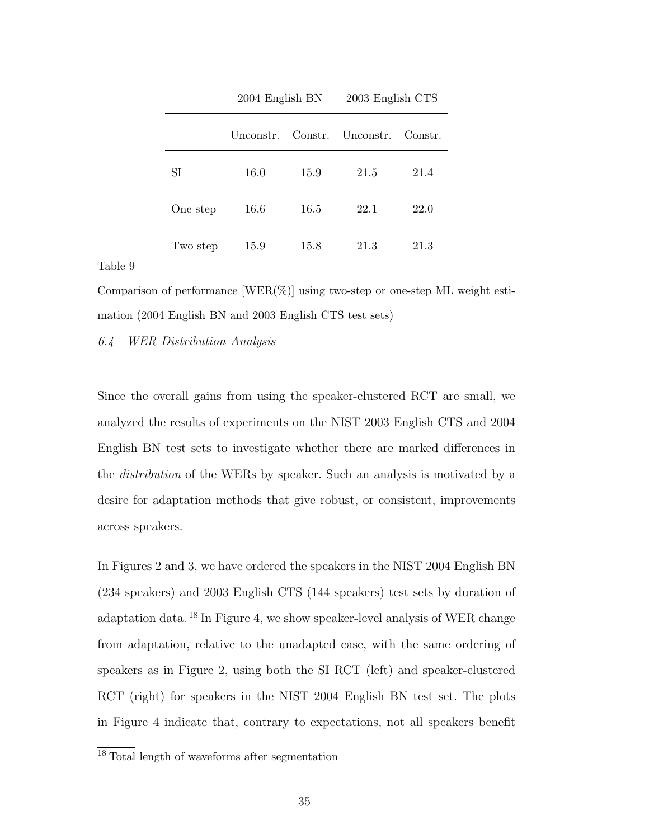|          | 2004 English BN |         | 2003 English CTS |         |
|----------|-----------------|---------|------------------|---------|
|          | Unconstr.       | Constr. | Unconstr.        | Constr. |
| SI       | 16.0            | 15.9    | 21.5             | 21.4    |
| One step | 16.6            | 16.5    | 22.1             | 22.0    |
| Two step | 15.9            | 15.8    | 21.3             | 21.3    |

Table 9

Comparison of performance  $[WER(\%)]$  using two-step or one-step ML weight estimation (2004 English BN and 2003 English CTS test sets)

#### 6.4 WER Distribution Analysis

Since the overall gains from using the speaker-clustered RCT are small, we analyzed the results of experiments on the NIST 2003 English CTS and 2004 English BN test sets to investigate whether there are marked differences in the *distribution* of the WERs by speaker. Such an analysis is motivated by a desire for adaptation methods that give robust, or consistent, improvements across speakers.

In Figures 2 and 3, we have ordered the speakers in the NIST 2004 English BN (234 speakers) and 2003 English CTS (144 speakers) test sets by duration of adaptation data. <sup>18</sup> In Figure 4, we show speaker-level analysis of WER change from adaptation, relative to the unadapted case, with the same ordering of speakers as in Figure 2, using both the SI RCT (left) and speaker-clustered RCT (right) for speakers in the NIST 2004 English BN test set. The plots in Figure 4 indicate that, contrary to expectations, not all speakers benefit

<sup>&</sup>lt;sup>18</sup> Total length of waveforms after segmentation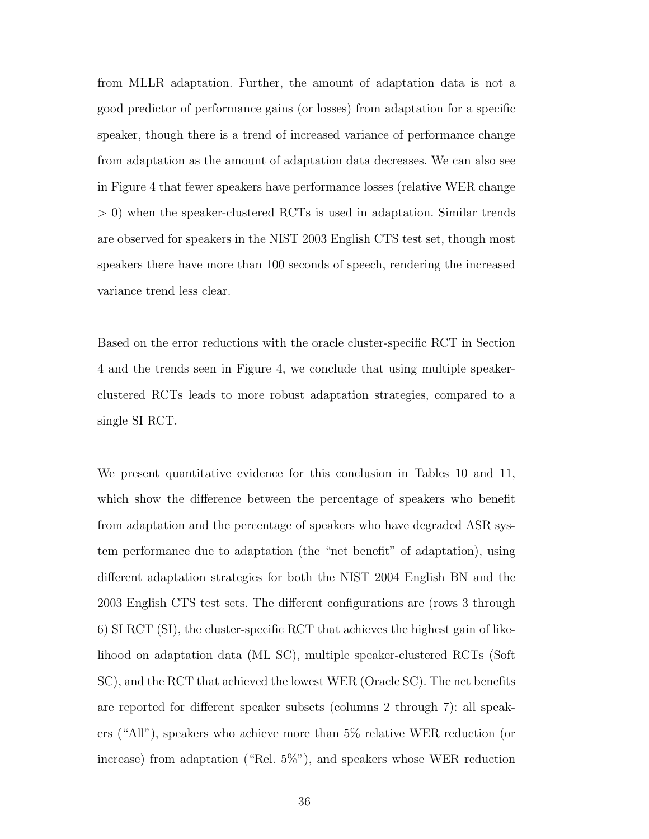from MLLR adaptation. Further, the amount of adaptation data is not a good predictor of performance gains (or losses) from adaptation for a specific speaker, though there is a trend of increased variance of performance change from adaptation as the amount of adaptation data decreases. We can also see in Figure 4 that fewer speakers have performance losses (relative WER change > 0) when the speaker-clustered RCTs is used in adaptation. Similar trends are observed for speakers in the NIST 2003 English CTS test set, though most speakers there have more than 100 seconds of speech, rendering the increased variance trend less clear.

Based on the error reductions with the oracle cluster-specific RCT in Section 4 and the trends seen in Figure 4, we conclude that using multiple speakerclustered RCTs leads to more robust adaptation strategies, compared to a single SI RCT.

We present quantitative evidence for this conclusion in Tables 10 and 11, which show the difference between the percentage of speakers who benefit from adaptation and the percentage of speakers who have degraded ASR system performance due to adaptation (the "net benefit" of adaptation), using different adaptation strategies for both the NIST 2004 English BN and the 2003 English CTS test sets. The different configurations are (rows 3 through 6) SI RCT (SI), the cluster-specific RCT that achieves the highest gain of likelihood on adaptation data (ML SC), multiple speaker-clustered RCTs (Soft SC), and the RCT that achieved the lowest WER (Oracle SC). The net benefits are reported for different speaker subsets (columns 2 through 7): all speakers ("All"), speakers who achieve more than 5% relative WER reduction (or increase) from adaptation ("Rel. 5%"), and speakers whose WER reduction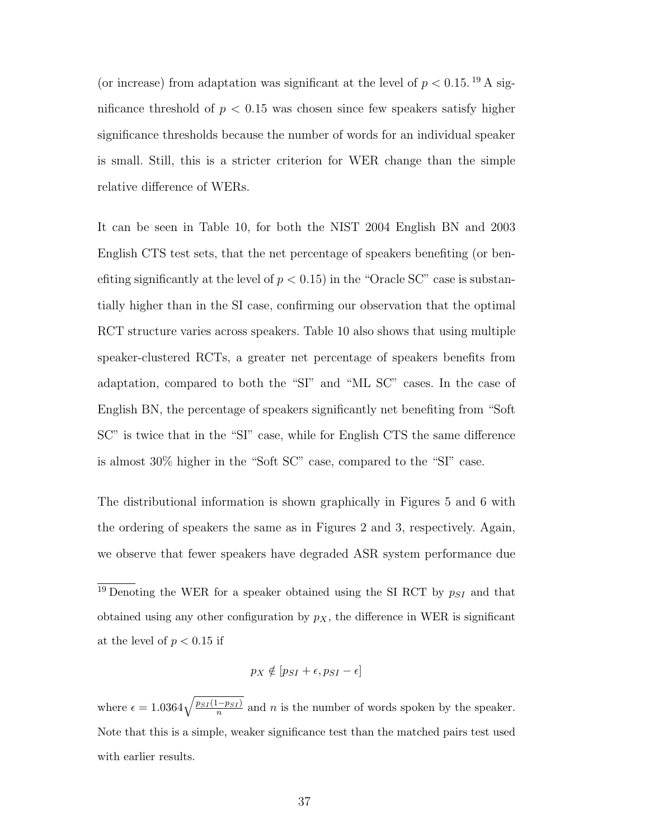(or increase) from adaptation was significant at the level of  $p < 0.15$ . <sup>19</sup> A significance threshold of  $p < 0.15$  was chosen since few speakers satisfy higher significance thresholds because the number of words for an individual speaker is small. Still, this is a stricter criterion for WER change than the simple relative difference of WERs.

It can be seen in Table 10, for both the NIST 2004 English BN and 2003 English CTS test sets, that the net percentage of speakers benefiting (or benefiting significantly at the level of  $p < 0.15$  in the "Oracle SC" case is substantially higher than in the SI case, confirming our observation that the optimal RCT structure varies across speakers. Table 10 also shows that using multiple speaker-clustered RCTs, a greater net percentage of speakers benefits from adaptation, compared to both the "SI" and "ML SC" cases. In the case of English BN, the percentage of speakers significantly net benefiting from "Soft SC" is twice that in the "SI" case, while for English CTS the same difference is almost 30% higher in the "Soft SC" case, compared to the "SI" case.

The distributional information is shown graphically in Figures 5 and 6 with the ordering of speakers the same as in Figures 2 and 3, respectively. Again, we observe that fewer speakers have degraded ASR system performance due

 $\frac{19}{19}$  Denoting the WER for a speaker obtained using the SI RCT by  $p_{SI}$  and that obtained using any other configuration by  $p<sub>X</sub>$ , the difference in WER is significant at the level of  $p < 0.15$  if

$$
p_X \notin [p_{SI} + \epsilon, p_{SI} - \epsilon]
$$

where  $\epsilon = 1.0364 \sqrt{\frac{p_{SI}(1-p_{SI})}{n}}$  and n is the number of words spoken by the speaker. Note that this is a simple, weaker significance test than the matched pairs test used with earlier results.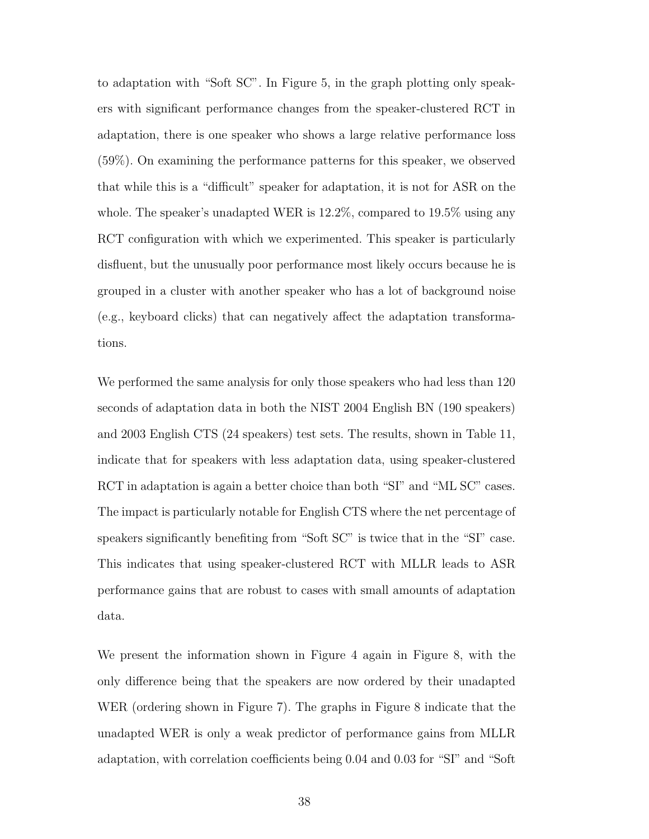to adaptation with "Soft SC". In Figure 5, in the graph plotting only speakers with significant performance changes from the speaker-clustered RCT in adaptation, there is one speaker who shows a large relative performance loss (59%). On examining the performance patterns for this speaker, we observed that while this is a "difficult" speaker for adaptation, it is not for ASR on the whole. The speaker's unadapted WER is 12.2%, compared to 19.5% using any RCT configuration with which we experimented. This speaker is particularly disfluent, but the unusually poor performance most likely occurs because he is grouped in a cluster with another speaker who has a lot of background noise (e.g., keyboard clicks) that can negatively affect the adaptation transformations.

We performed the same analysis for only those speakers who had less than 120 seconds of adaptation data in both the NIST 2004 English BN (190 speakers) and 2003 English CTS (24 speakers) test sets. The results, shown in Table 11, indicate that for speakers with less adaptation data, using speaker-clustered RCT in adaptation is again a better choice than both "SI" and "ML SC" cases. The impact is particularly notable for English CTS where the net percentage of speakers significantly benefiting from "Soft SC" is twice that in the "SI" case. This indicates that using speaker-clustered RCT with MLLR leads to ASR performance gains that are robust to cases with small amounts of adaptation data.

We present the information shown in Figure 4 again in Figure 8, with the only difference being that the speakers are now ordered by their unadapted WER (ordering shown in Figure 7). The graphs in Figure 8 indicate that the unadapted WER is only a weak predictor of performance gains from MLLR adaptation, with correlation coefficients being 0.04 and 0.03 for "SI" and "Soft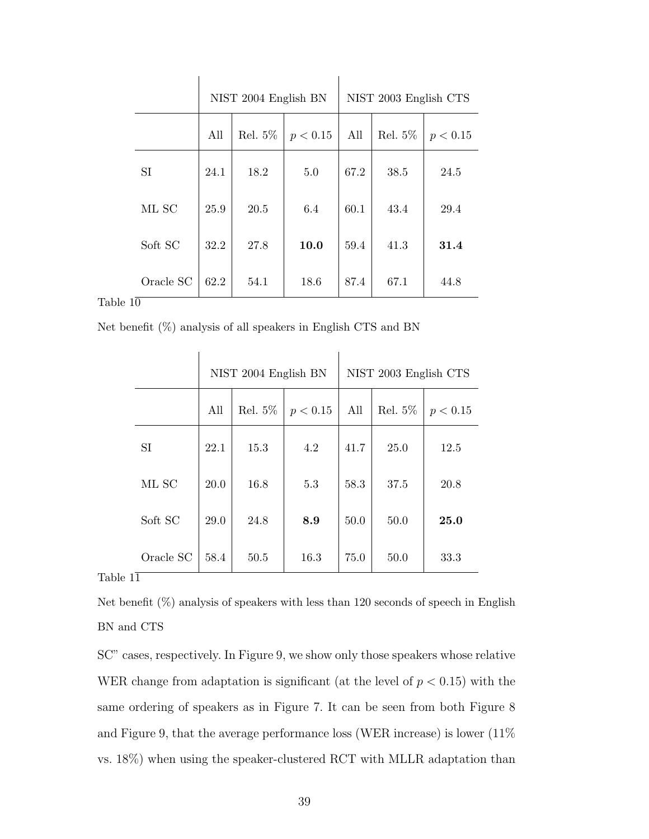|           | NIST 2004 English BN |         |          |      | NIST 2003 English CTS |          |
|-----------|----------------------|---------|----------|------|-----------------------|----------|
|           | All                  | Rel. 5% | p < 0.15 | All  | Rel. 5%               | p < 0.15 |
| SI        | 24.1                 | 18.2    | 5.0      | 67.2 | 38.5                  | 24.5     |
| ML SC     | 25.9                 | 20.5    | 6.4      | 60.1 | 43.4                  | 29.4     |
| Soft SC   | 32.2                 | 27.8    | 10.0     | 59.4 | 41.3                  | 31.4     |
| Oracle SC | 62.2                 | 54.1    | 18.6     | 87.4 | 67.1                  | 44.8     |

Table  $1\overline{0}$ 

Net benefit (%) analysis of all speakers in English CTS and BN

|           | NIST 2004 English BN |            | NIST 2003 English CTS |      |            |          |
|-----------|----------------------|------------|-----------------------|------|------------|----------|
|           | All                  | Rel. $5\%$ | p < 0.15              | All  | Rel. $5\%$ | p < 0.15 |
| <b>SI</b> | 22.1                 | 15.3       | 4.2                   | 41.7 | 25.0       | 12.5     |
| ML SC     | 20.0                 | 16.8       | 5.3                   | 58.3 | 37.5       | 20.8     |
| Soft SC   | 29.0                 | 24.8       | 8.9                   | 50.0 | 50.0       | 25.0     |
| Oracle SC | 58.4                 | $50.5$     | 16.3                  | 75.0 | 50.0       | 33.3     |

# Table 11

Net benefit (%) analysis of speakers with less than 120 seconds of speech in English BN and CTS

SC" cases, respectively. In Figure 9, we show only those speakers whose relative WER change from adaptation is significant (at the level of  $p < 0.15$ ) with the same ordering of speakers as in Figure 7. It can be seen from both Figure 8 and Figure 9, that the average performance loss (WER increase) is lower (11% vs. 18%) when using the speaker-clustered RCT with MLLR adaptation than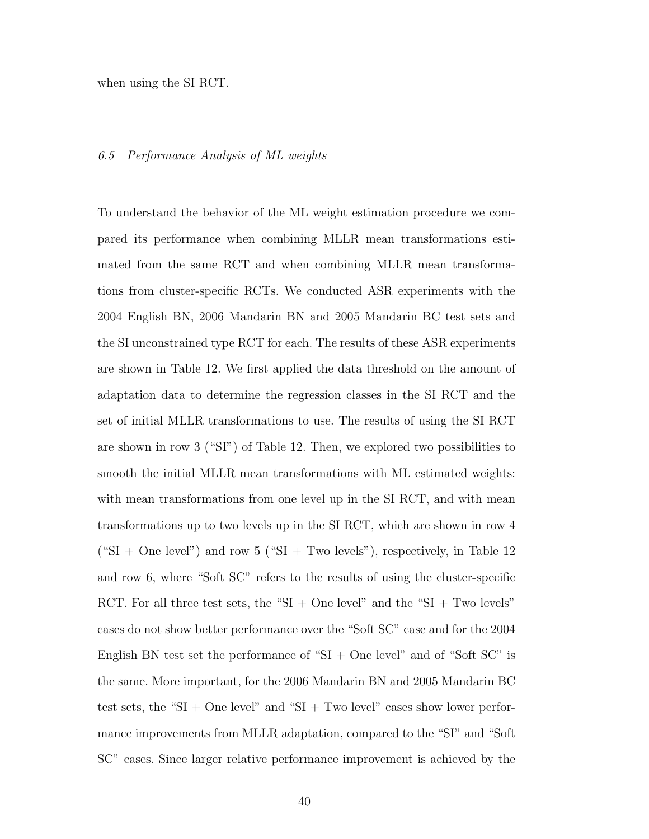when using the SI RCT.

#### 6.5 Performance Analysis of ML weights

To understand the behavior of the ML weight estimation procedure we compared its performance when combining MLLR mean transformations estimated from the same RCT and when combining MLLR mean transformations from cluster-specific RCTs. We conducted ASR experiments with the 2004 English BN, 2006 Mandarin BN and 2005 Mandarin BC test sets and the SI unconstrained type RCT for each. The results of these ASR experiments are shown in Table 12. We first applied the data threshold on the amount of adaptation data to determine the regression classes in the SI RCT and the set of initial MLLR transformations to use. The results of using the SI RCT are shown in row 3 ("SI") of Table 12. Then, we explored two possibilities to smooth the initial MLLR mean transformations with ML estimated weights: with mean transformations from one level up in the SI RCT, and with mean transformations up to two levels up in the SI RCT, which are shown in row 4  $("SI + One level")$  and row 5  $("SI + Two levels")$ , respectively, in Table 12 and row 6, where "Soft SC" refers to the results of using the cluster-specific RCT. For all three test sets, the "SI + One level" and the "SI + Two levels" cases do not show better performance over the "Soft SC" case and for the 2004 English BN test set the performance of " $SI + One$  level" and of "Soft SC" is the same. More important, for the 2006 Mandarin BN and 2005 Mandarin BC test sets, the "SI + One level" and "SI + Two level" cases show lower performance improvements from MLLR adaptation, compared to the "SI" and "Soft SC" cases. Since larger relative performance improvement is achieved by the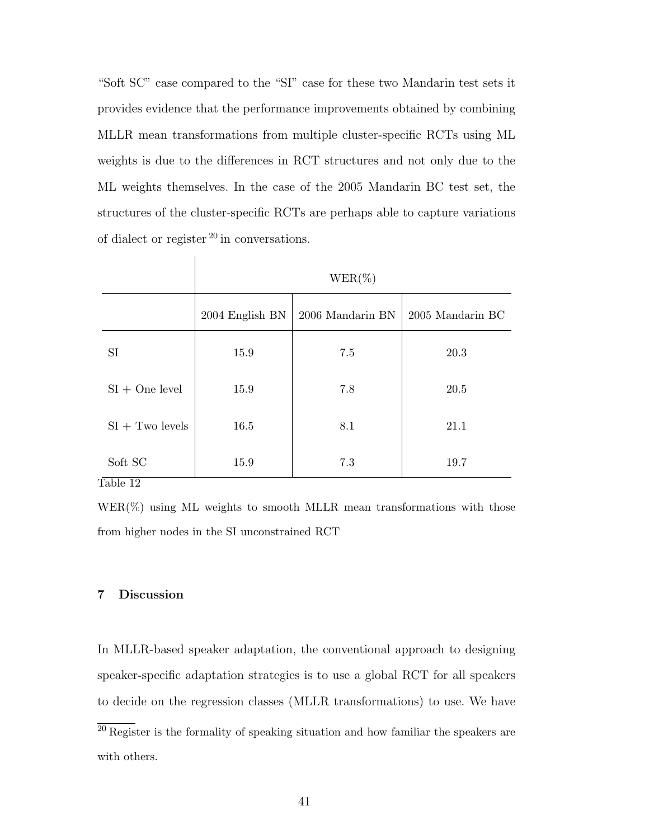"Soft SC" case compared to the "SI" case for these two Mandarin test sets it provides evidence that the performance improvements obtained by combining MLLR mean transformations from multiple cluster-specific RCTs using ML weights is due to the differences in RCT structures and not only due to the ML weights themselves. In the case of the 2005 Mandarin BC test set, the structures of the cluster-specific RCTs are perhaps able to capture variations of dialect or register  $^{20}$  in conversations.

|                                                     | $WER(\%)$       |                  |                  |  |  |
|-----------------------------------------------------|-----------------|------------------|------------------|--|--|
|                                                     | 2004 English BN | 2006 Mandarin BN | 2005 Mandarin BC |  |  |
| <b>SI</b>                                           | 15.9            | 7.5              | 20.3             |  |  |
| $SI + One level$                                    | 15.9            | 7.8              | 20.5             |  |  |
| $SI + Two levels$                                   | 16.5            | 8.1              | 21.1             |  |  |
| Soft SC<br><del>.</del><br>$\overline{\phantom{a}}$ | 15.9            | 7.3              | 19.7             |  |  |

Table 12

 $\overline{1}$ 

 $WER(\%)$  using ML weights to smooth MLLR mean transformations with those from higher nodes in the SI unconstrained RCT

# **7 Discussion**

In MLLR-based speaker adaptation, the conventional approach to designing speaker-specific adaptation strategies is to use a global RCT for all speakers to decide on the regression classes (MLLR transformations) to use. We have

 $\overline{^{20}$  Register is the formality of speaking situation and how familiar the speakers are with others.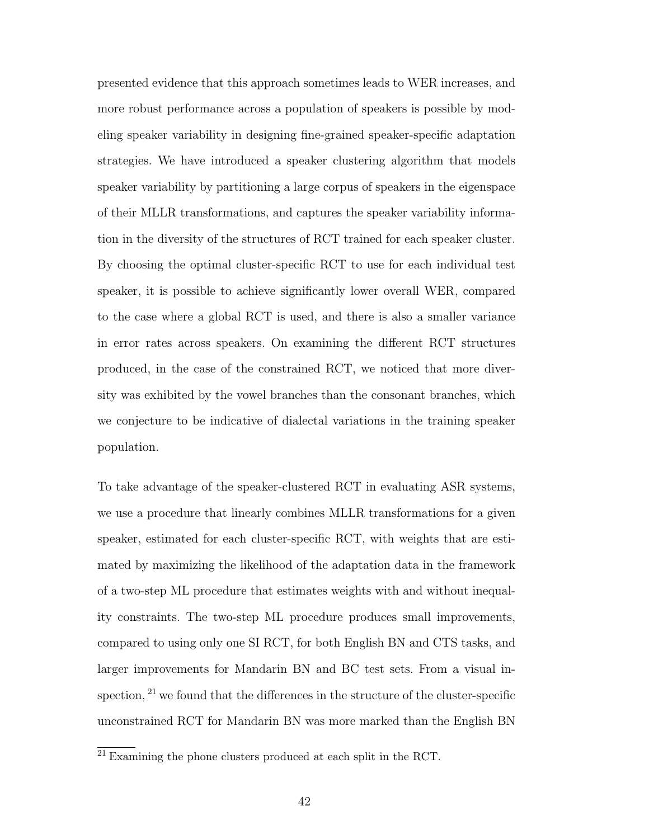presented evidence that this approach sometimes leads to WER increases, and more robust performance across a population of speakers is possible by modeling speaker variability in designing fine-grained speaker-specific adaptation strategies. We have introduced a speaker clustering algorithm that models speaker variability by partitioning a large corpus of speakers in the eigenspace of their MLLR transformations, and captures the speaker variability information in the diversity of the structures of RCT trained for each speaker cluster. By choosing the optimal cluster-specific RCT to use for each individual test speaker, it is possible to achieve significantly lower overall WER, compared to the case where a global RCT is used, and there is also a smaller variance in error rates across speakers. On examining the different RCT structures produced, in the case of the constrained RCT, we noticed that more diversity was exhibited by the vowel branches than the consonant branches, which we conjecture to be indicative of dialectal variations in the training speaker population.

To take advantage of the speaker-clustered RCT in evaluating ASR systems, we use a procedure that linearly combines MLLR transformations for a given speaker, estimated for each cluster-specific RCT, with weights that are estimated by maximizing the likelihood of the adaptation data in the framework of a two-step ML procedure that estimates weights with and without inequality constraints. The two-step ML procedure produces small improvements, compared to using only one SI RCT, for both English BN and CTS tasks, and larger improvements for Mandarin BN and BC test sets. From a visual inspection,  $2<sup>1</sup>$  we found that the differences in the structure of the cluster-specific unconstrained RCT for Mandarin BN was more marked than the English BN

 $\frac{21}{21}$  Examining the phone clusters produced at each split in the RCT.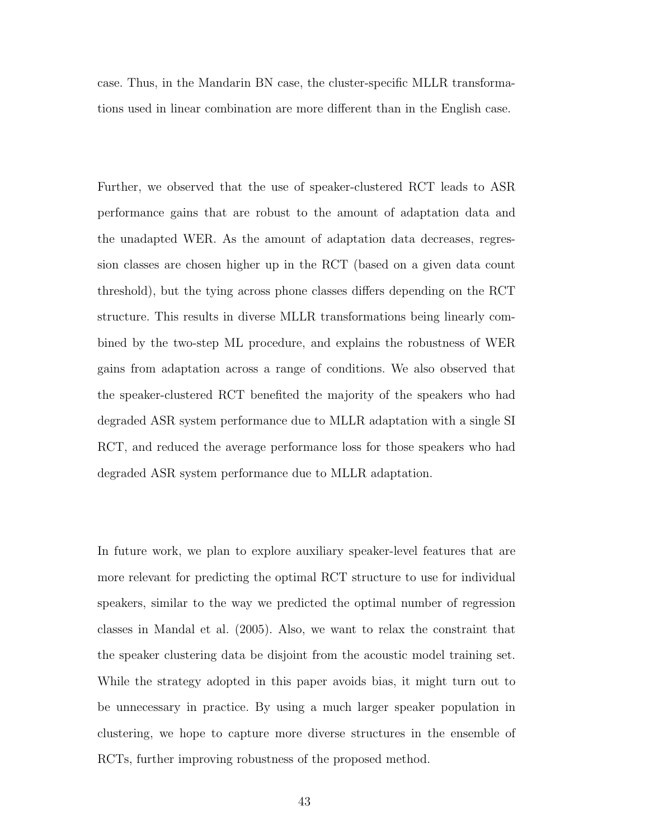case. Thus, in the Mandarin BN case, the cluster-specific MLLR transformations used in linear combination are more different than in the English case.

Further, we observed that the use of speaker-clustered RCT leads to ASR performance gains that are robust to the amount of adaptation data and the unadapted WER. As the amount of adaptation data decreases, regression classes are chosen higher up in the RCT (based on a given data count threshold), but the tying across phone classes differs depending on the RCT structure. This results in diverse MLLR transformations being linearly combined by the two-step ML procedure, and explains the robustness of WER gains from adaptation across a range of conditions. We also observed that the speaker-clustered RCT benefited the majority of the speakers who had degraded ASR system performance due to MLLR adaptation with a single SI RCT, and reduced the average performance loss for those speakers who had degraded ASR system performance due to MLLR adaptation.

In future work, we plan to explore auxiliary speaker-level features that are more relevant for predicting the optimal RCT structure to use for individual speakers, similar to the way we predicted the optimal number of regression classes in Mandal et al. (2005). Also, we want to relax the constraint that the speaker clustering data be disjoint from the acoustic model training set. While the strategy adopted in this paper avoids bias, it might turn out to be unnecessary in practice. By using a much larger speaker population in clustering, we hope to capture more diverse structures in the ensemble of RCTs, further improving robustness of the proposed method.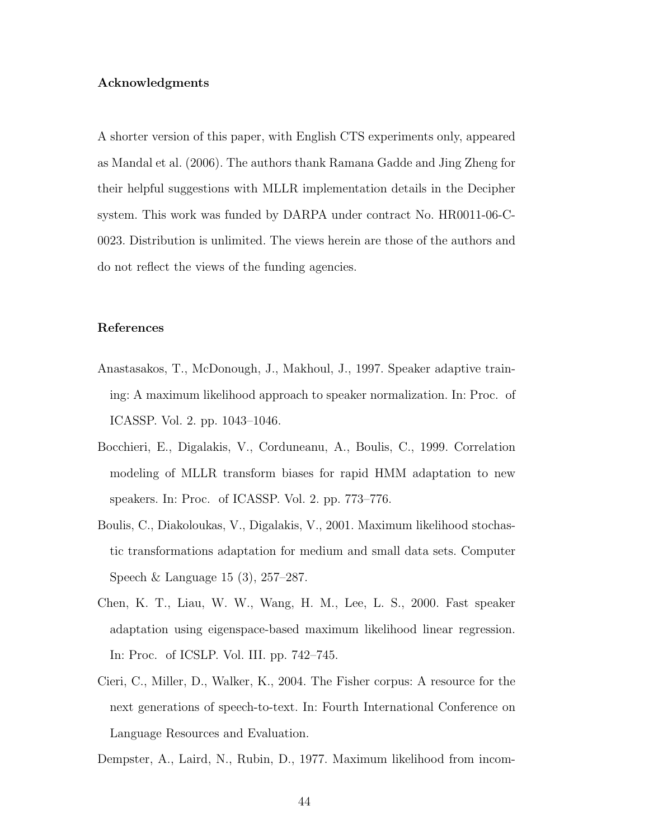#### **Acknowledgments**

A shorter version of this paper, with English CTS experiments only, appeared as Mandal et al. (2006). The authors thank Ramana Gadde and Jing Zheng for their helpful suggestions with MLLR implementation details in the Decipher system. This work was funded by DARPA under contract No. HR0011-06-C-0023. Distribution is unlimited. The views herein are those of the authors and do not reflect the views of the funding agencies.

#### **References**

- Anastasakos, T., McDonough, J., Makhoul, J., 1997. Speaker adaptive training: A maximum likelihood approach to speaker normalization. In: Proc. of ICASSP. Vol. 2. pp. 1043–1046.
- Bocchieri, E., Digalakis, V., Corduneanu, A., Boulis, C., 1999. Correlation modeling of MLLR transform biases for rapid HMM adaptation to new speakers. In: Proc. of ICASSP. Vol. 2. pp. 773–776.
- Boulis, C., Diakoloukas, V., Digalakis, V., 2001. Maximum likelihood stochastic transformations adaptation for medium and small data sets. Computer Speech & Language 15 (3), 257–287.
- Chen, K. T., Liau, W. W., Wang, H. M., Lee, L. S., 2000. Fast speaker adaptation using eigenspace-based maximum likelihood linear regression. In: Proc. of ICSLP. Vol. III. pp. 742–745.
- Cieri, C., Miller, D., Walker, K., 2004. The Fisher corpus: A resource for the next generations of speech-to-text. In: Fourth International Conference on Language Resources and Evaluation.

Dempster, A., Laird, N., Rubin, D., 1977. Maximum likelihood from incom-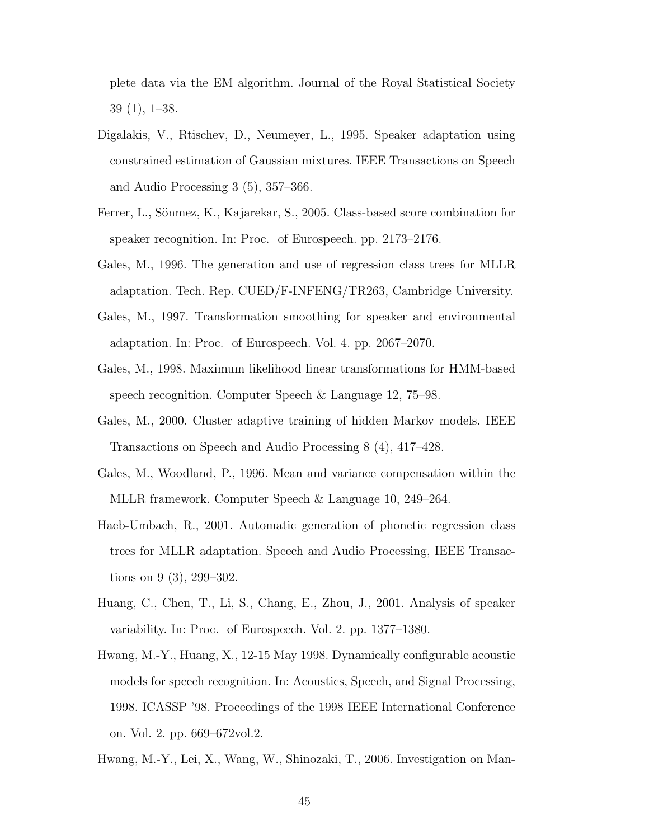plete data via the EM algorithm. Journal of the Royal Statistical Society 39 (1), 1–38.

- Digalakis, V., Rtischev, D., Neumeyer, L., 1995. Speaker adaptation using constrained estimation of Gaussian mixtures. IEEE Transactions on Speech and Audio Processing 3 (5), 357–366.
- Ferrer, L., Sönmez, K., Kajarekar, S., 2005. Class-based score combination for speaker recognition. In: Proc. of Eurospeech. pp. 2173–2176.
- Gales, M., 1996. The generation and use of regression class trees for MLLR adaptation. Tech. Rep. CUED/F-INFENG/TR263, Cambridge University.
- Gales, M., 1997. Transformation smoothing for speaker and environmental adaptation. In: Proc. of Eurospeech. Vol. 4. pp. 2067–2070.
- Gales, M., 1998. Maximum likelihood linear transformations for HMM-based speech recognition. Computer Speech & Language 12, 75–98.
- Gales, M., 2000. Cluster adaptive training of hidden Markov models. IEEE Transactions on Speech and Audio Processing 8 (4), 417–428.
- Gales, M., Woodland, P., 1996. Mean and variance compensation within the MLLR framework. Computer Speech & Language 10, 249–264.
- Haeb-Umbach, R., 2001. Automatic generation of phonetic regression class trees for MLLR adaptation. Speech and Audio Processing, IEEE Transactions on 9 (3), 299–302.
- Huang, C., Chen, T., Li, S., Chang, E., Zhou, J., 2001. Analysis of speaker variability. In: Proc. of Eurospeech. Vol. 2. pp. 1377–1380.
- Hwang, M.-Y., Huang, X., 12-15 May 1998. Dynamically configurable acoustic models for speech recognition. In: Acoustics, Speech, and Signal Processing, 1998. ICASSP '98. Proceedings of the 1998 IEEE International Conference on. Vol. 2. pp. 669–672vol.2.
- Hwang, M.-Y., Lei, X., Wang, W., Shinozaki, T., 2006. Investigation on Man-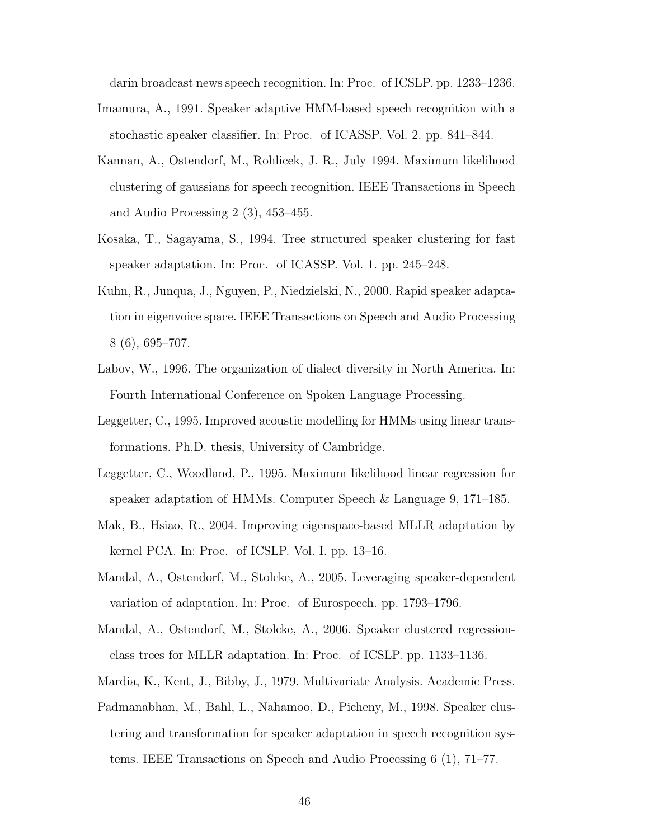darin broadcast news speech recognition. In: Proc. of ICSLP. pp. 1233–1236.

- Imamura, A., 1991. Speaker adaptive HMM-based speech recognition with a stochastic speaker classifier. In: Proc. of ICASSP. Vol. 2. pp. 841–844.
- Kannan, A., Ostendorf, M., Rohlicek, J. R., July 1994. Maximum likelihood clustering of gaussians for speech recognition. IEEE Transactions in Speech and Audio Processing 2 (3), 453–455.
- Kosaka, T., Sagayama, S., 1994. Tree structured speaker clustering for fast speaker adaptation. In: Proc. of ICASSP. Vol. 1. pp. 245–248.
- Kuhn, R., Junqua, J., Nguyen, P., Niedzielski, N., 2000. Rapid speaker adaptation in eigenvoice space. IEEE Transactions on Speech and Audio Processing 8 (6), 695–707.
- Labov, W., 1996. The organization of dialect diversity in North America. In: Fourth International Conference on Spoken Language Processing.
- Leggetter, C., 1995. Improved acoustic modelling for HMMs using linear transformations. Ph.D. thesis, University of Cambridge.
- Leggetter, C., Woodland, P., 1995. Maximum likelihood linear regression for speaker adaptation of HMMs. Computer Speech & Language 9, 171–185.
- Mak, B., Hsiao, R., 2004. Improving eigenspace-based MLLR adaptation by kernel PCA. In: Proc. of ICSLP. Vol. I. pp. 13–16.
- Mandal, A., Ostendorf, M., Stolcke, A., 2005. Leveraging speaker-dependent variation of adaptation. In: Proc. of Eurospeech. pp. 1793–1796.
- Mandal, A., Ostendorf, M., Stolcke, A., 2006. Speaker clustered regressionclass trees for MLLR adaptation. In: Proc. of ICSLP. pp. 1133–1136.
- Mardia, K., Kent, J., Bibby, J., 1979. Multivariate Analysis. Academic Press.
- Padmanabhan, M., Bahl, L., Nahamoo, D., Picheny, M., 1998. Speaker clustering and transformation for speaker adaptation in speech recognition systems. IEEE Transactions on Speech and Audio Processing 6 (1), 71–77.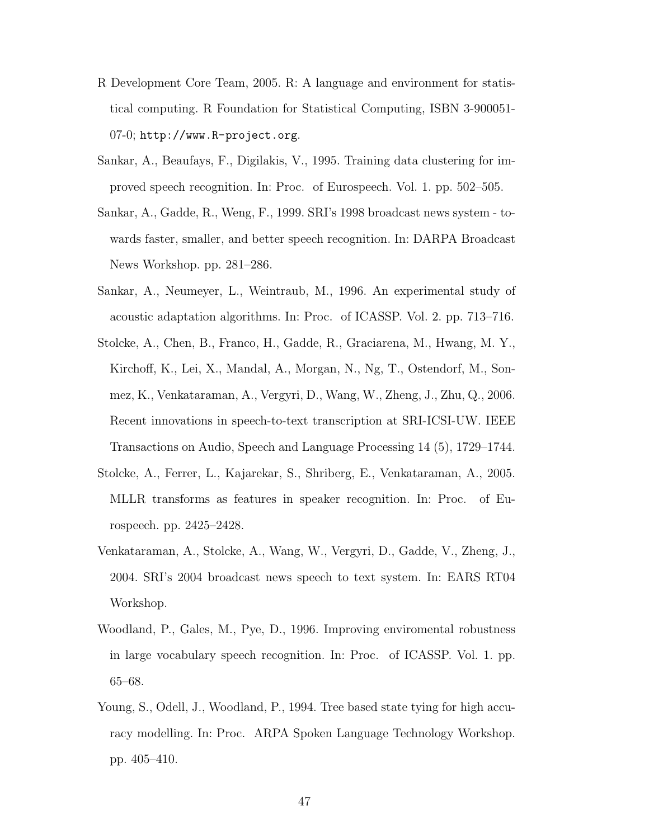- R Development Core Team, 2005. R: A language and environment for statistical computing. R Foundation for Statistical Computing, ISBN 3-900051- 07-0; http://www.R-project.org.
- Sankar, A., Beaufays, F., Digilakis, V., 1995. Training data clustering for improved speech recognition. In: Proc. of Eurospeech. Vol. 1. pp. 502–505.
- Sankar, A., Gadde, R., Weng, F., 1999. SRI's 1998 broadcast news system towards faster, smaller, and better speech recognition. In: DARPA Broadcast News Workshop. pp. 281–286.
- Sankar, A., Neumeyer, L., Weintraub, M., 1996. An experimental study of acoustic adaptation algorithms. In: Proc. of ICASSP. Vol. 2. pp. 713–716.
- Stolcke, A., Chen, B., Franco, H., Gadde, R., Graciarena, M., Hwang, M. Y., Kirchoff, K., Lei, X., Mandal, A., Morgan, N., Ng, T., Ostendorf, M., Sonmez, K., Venkataraman, A., Vergyri, D., Wang, W., Zheng, J., Zhu, Q., 2006. Recent innovations in speech-to-text transcription at SRI-ICSI-UW. IEEE Transactions on Audio, Speech and Language Processing 14 (5), 1729–1744.
- Stolcke, A., Ferrer, L., Kajarekar, S., Shriberg, E., Venkataraman, A., 2005. MLLR transforms as features in speaker recognition. In: Proc. of Eurospeech. pp. 2425–2428.
- Venkataraman, A., Stolcke, A., Wang, W., Vergyri, D., Gadde, V., Zheng, J., 2004. SRI's 2004 broadcast news speech to text system. In: EARS RT04 Workshop.
- Woodland, P., Gales, M., Pye, D., 1996. Improving enviromental robustness in large vocabulary speech recognition. In: Proc. of ICASSP. Vol. 1. pp. 65–68.
- Young, S., Odell, J., Woodland, P., 1994. Tree based state tying for high accuracy modelling. In: Proc. ARPA Spoken Language Technology Workshop. pp. 405–410.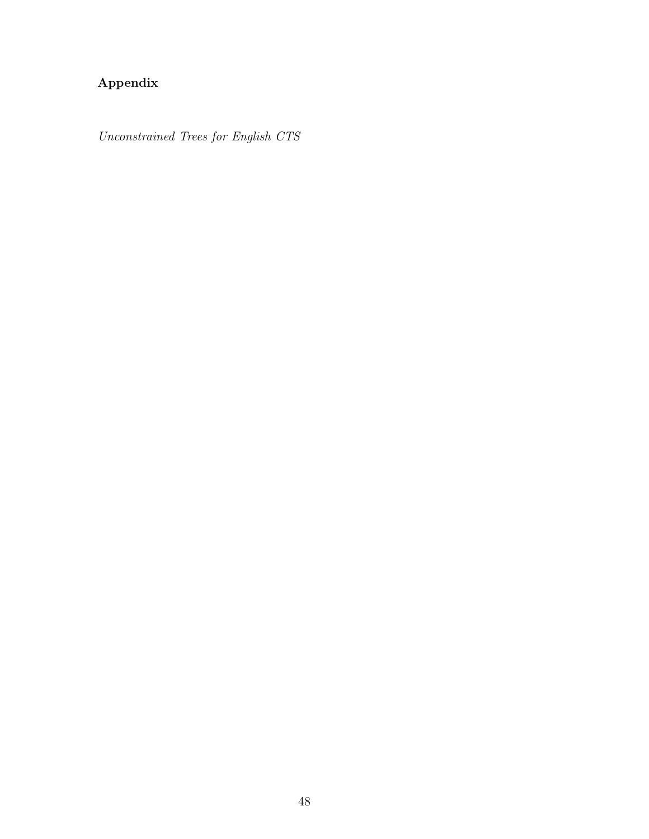# **Appendix**

Unconstrained Trees for English CTS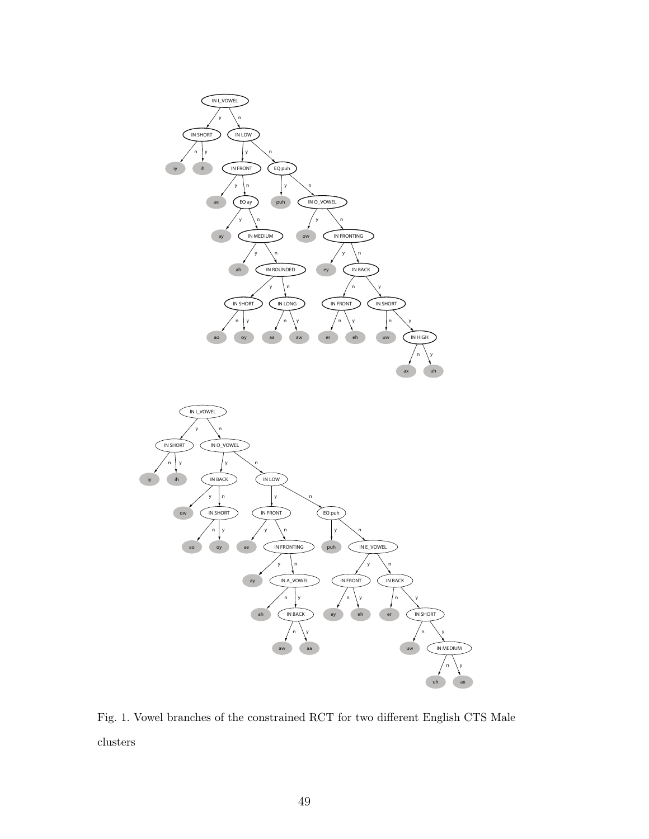



Fig. 1. Vowel branches of the constrained RCT for two different English CTS Male clusters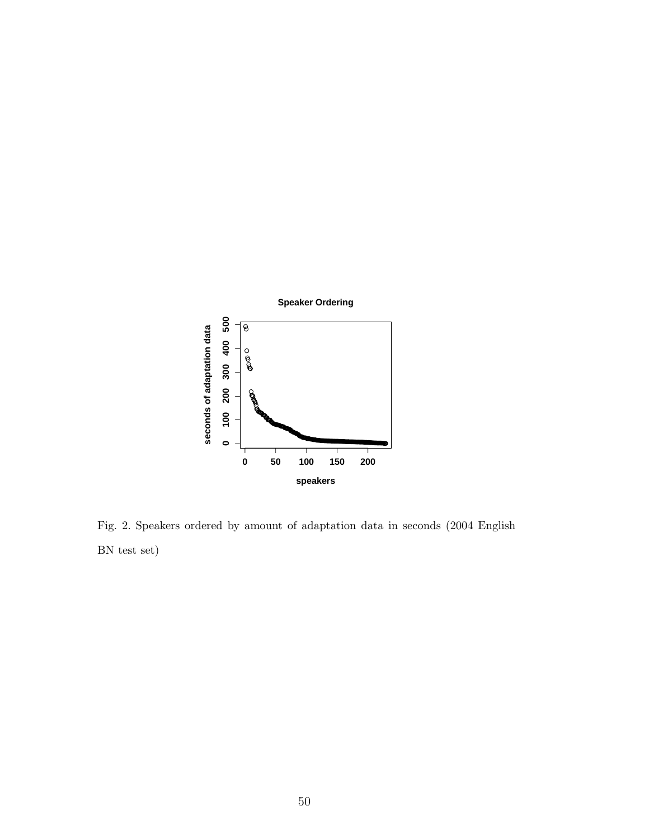

Fig. 2. Speakers ordered by amount of adaptation data in seconds (2004 English BN test set)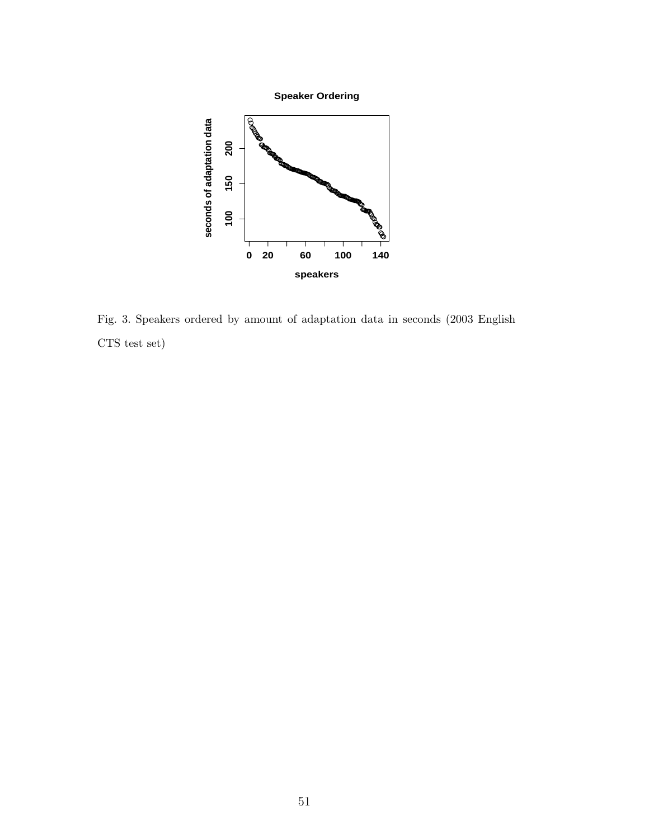

Fig. 3. Speakers ordered by amount of adaptation data in seconds (2003 English CTS test set)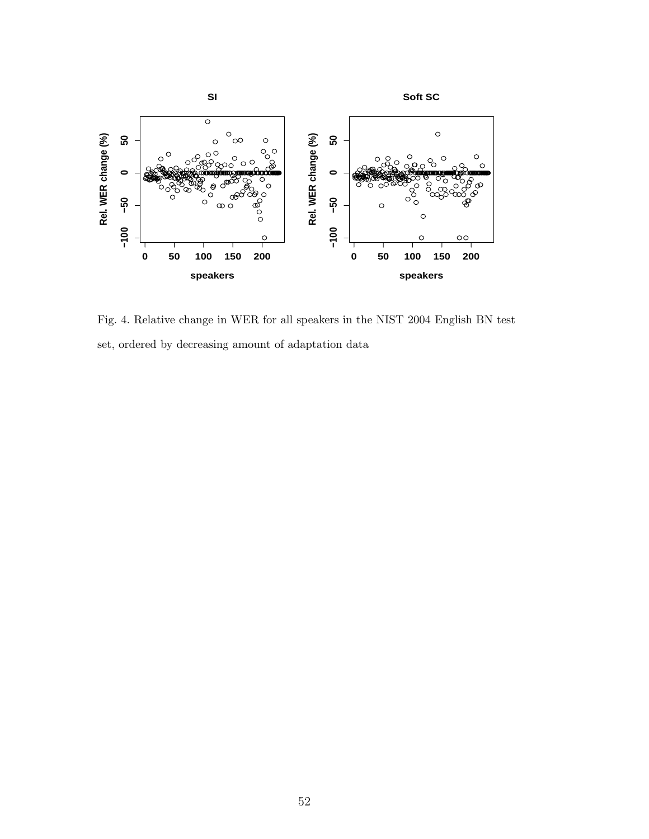

Fig. 4. Relative change in WER for all speakers in the NIST 2004 English BN test set, ordered by decreasing amount of adaptation data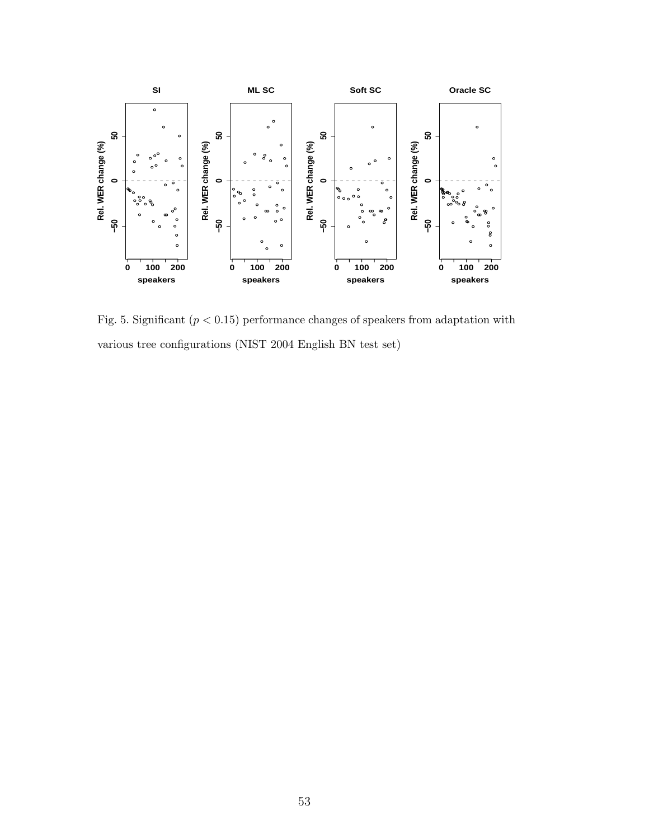

Fig. 5. Significant  $(p < 0.15)$  performance changes of speakers from adaptation with various tree configurations (NIST 2004 English BN test set)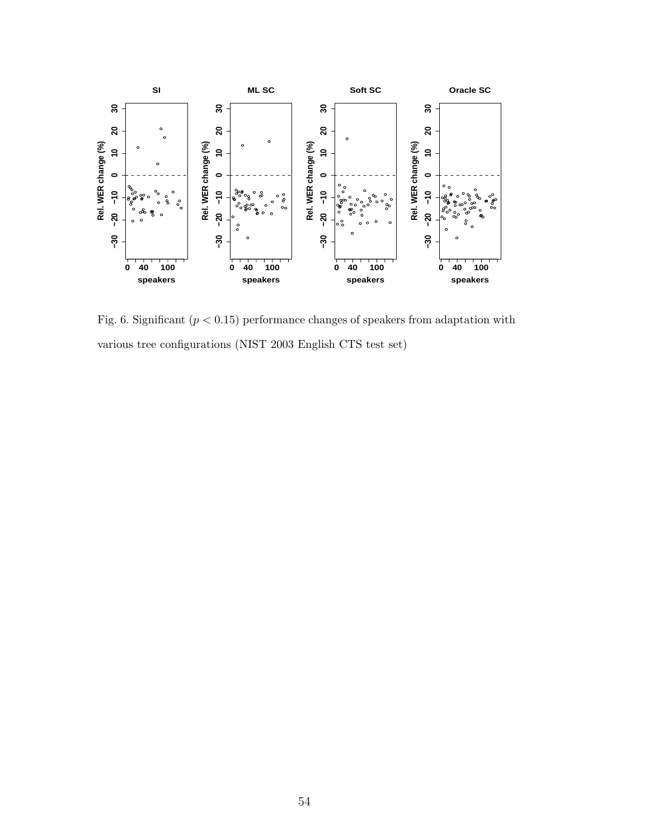

Fig. 6. Significant  $(p < 0.15)$  performance changes of speakers from adaptation with various tree configurations (NIST 2003 English CTS test set)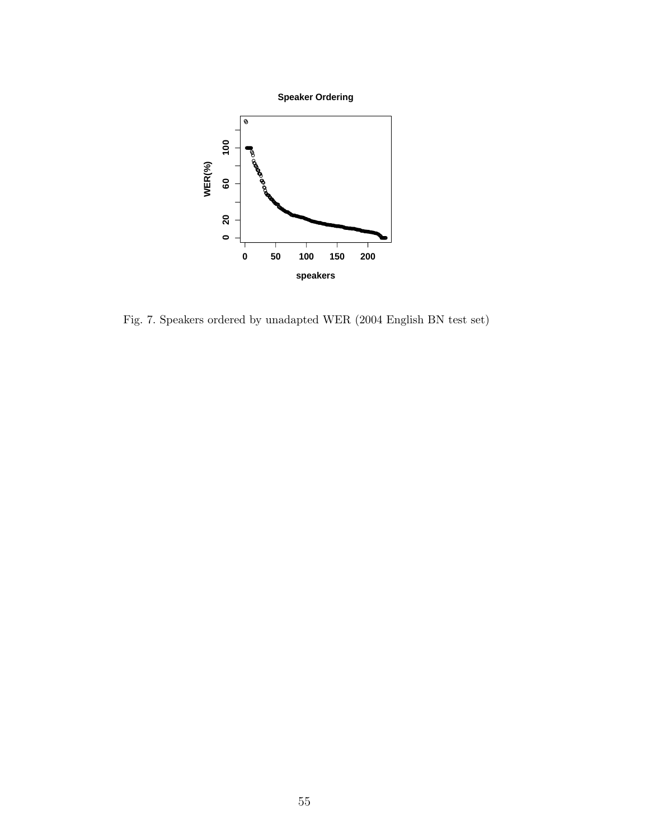



Fig. 7. Speakers ordered by unadapted WER (2004 English BN test set)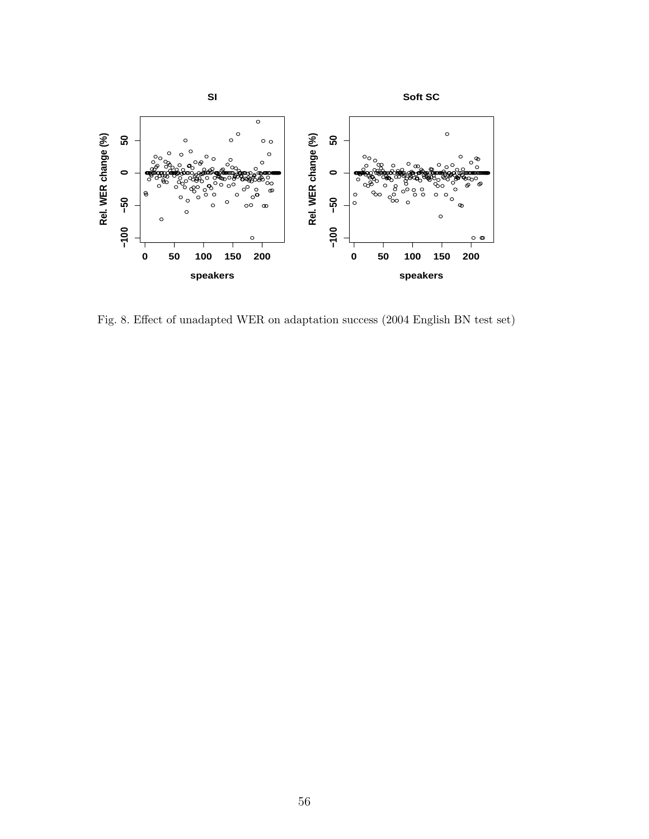

Fig. 8. Effect of unadapted WER on adaptation success (2004 English BN test set)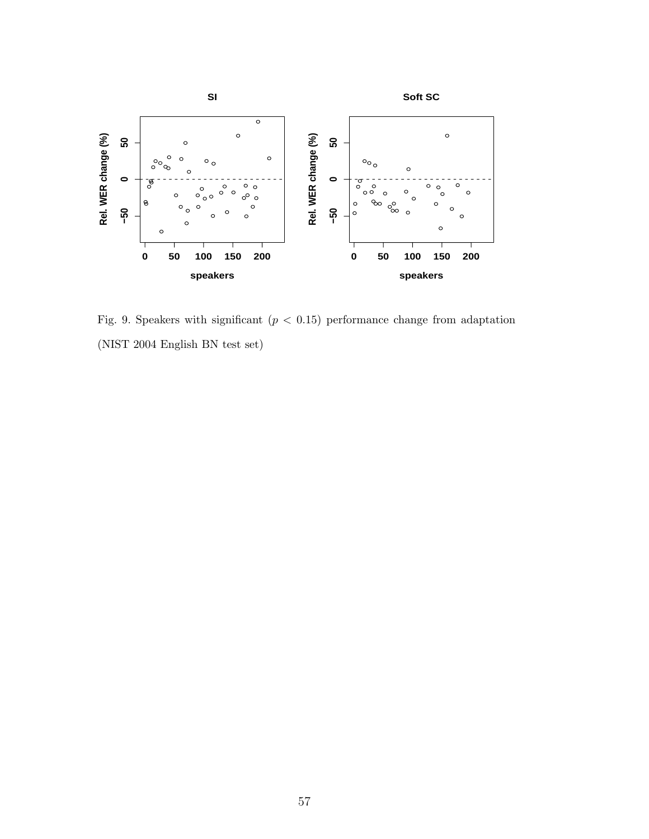

Fig. 9. Speakers with significant  $(p < 0.15)$  performance change from adaptation (NIST 2004 English BN test set)